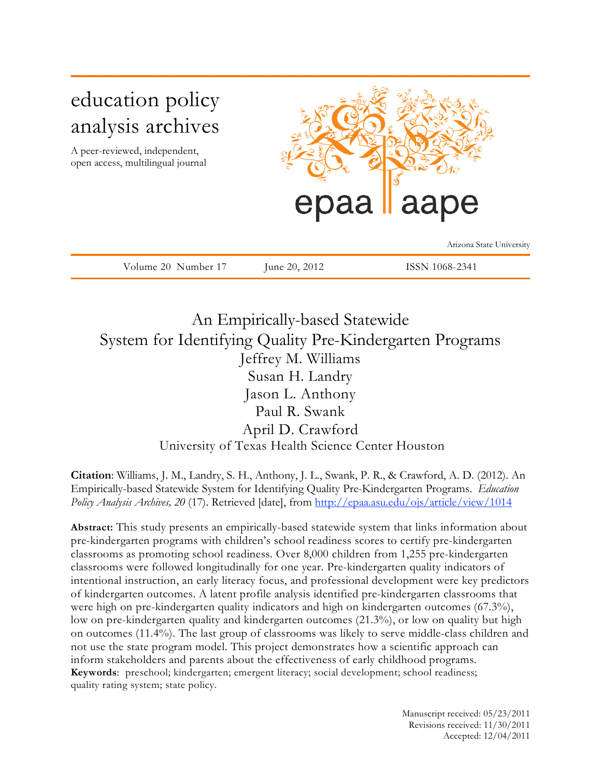# education policy analysis archives

A peer-reviewed, independent, open access, multilingual journal



Arizona State University

Volume 20 Number 17 June 20, 2012 ISSN 1068-2341

An Empirically-based Statewide System for Identifying Quality Pre-Kindergarten Programs Jeffrey M. Williams Susan H. Landry Jason L. Anthony Paul R. Swank April D. Crawford University of Texas Health Science Center Houston

**Citation**: Williams, J. M., Landry, S. H., Anthony, J. L., Swank, P. R., & Crawford, A. D. (2012). An Empirically-based Statewide System for Identifying Quality Pre-Kindergarten Programs. *Education Policy Analysis Archives, 20* (17). Retrieved [date], from http://epaa.asu.edu/ojs/article/view/1014

**Abstract:** This study presents an empirically-based statewide system that links information about pre-kindergarten programs with children's school readiness scores to certify pre-kindergarten classrooms as promoting school readiness. Over 8,000 children from 1,255 pre-kindergarten classrooms were followed longitudinally for one year. Pre-kindergarten quality indicators of intentional instruction, an early literacy focus, and professional development were key predictors of kindergarten outcomes. A latent profile analysis identified pre-kindergarten classrooms that were high on pre-kindergarten quality indicators and high on kindergarten outcomes (67.3%), low on pre-kindergarten quality and kindergarten outcomes (21.3%), or low on quality but high on outcomes (11.4%). The last group of classrooms was likely to serve middle-class children and not use the state program model. This project demonstrates how a scientific approach can inform stakeholders and parents about the effectiveness of early childhood programs. **Keywords**: preschool; kindergarten; emergent literacy; social development; school readiness; quality rating system; state policy.

> Manuscript received: 05/23/2011 Revisions received: 11/30/2011 Accepted: 12/04/2011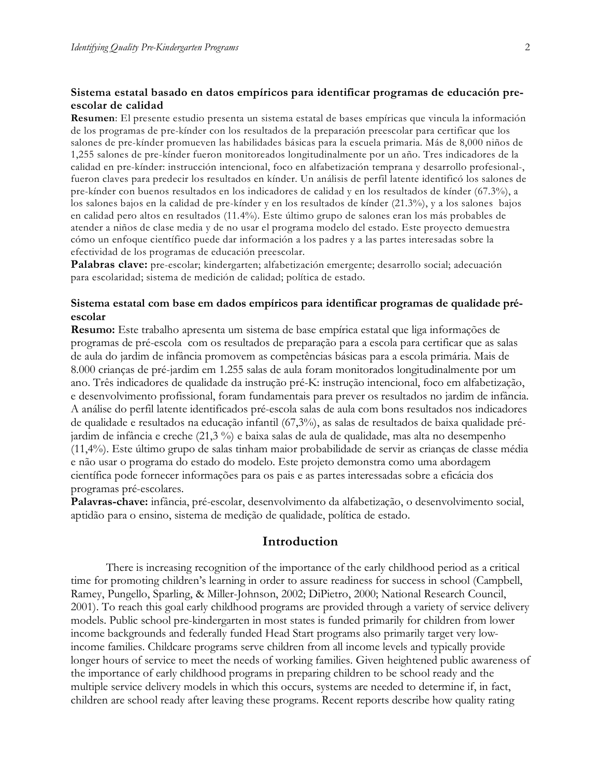# **Sistema estatal basado en datos empíricos para identificar programas de educación preescolar de calidad**

**Resumen**: El presente estudio presenta un sistema estatal de bases empíricas que vincula la información de los programas de pre-kínder con los resultados de la preparación preescolar para certificar que los salones de pre-kínder promueven las habilidades básicas para la escuela primaria. Más de 8,000 niños de 1,255 salones de pre-kínder fueron monitoreados longitudinalmente por un año. Tres indicadores de la calidad en pre-kínder: instrucción intencional, foco en alfabetización temprana y desarrollo profesional-, fueron claves para predecir los resultados en kínder. Un análisis de perfil latente identificó los salones de pre-kínder con buenos resultados en los indicadores de calidad y en los resultados de kínder (67.3%), a los salones bajos en la calidad de pre-kínder y en los resultados de kínder (21.3%), y a los salones bajos en calidad pero altos en resultados (11.4%). Este último grupo de salones eran los más probables de atender a niños de clase media y de no usar el programa modelo del estado. Este proyecto demuestra cómo un enfoque científico puede dar información a los padres y a las partes interesadas sobre la efectividad de los programas de educación preescolar.

**Palabras clave:** pre-escolar; kindergarten; alfabetización emergente; desarrollo social; adecuación para escolaridad; sistema de medición de calidad; política de estado.

#### **Sistema estatal com base em dados empíricos para identificar programas de qualidade préescolar**

**Resumo:** Este trabalho apresenta um sistema de base empírica estatal que liga informações de programas de pré-escola com os resultados de preparação para a escola para certificar que as salas de aula do jardim de infância promovem as competências básicas para a escola primária. Mais de 8.000 crianças de pré-jardim em 1.255 salas de aula foram monitorados longitudinalmente por um ano. Três indicadores de qualidade da instrução pré-K: instrução intencional, foco em alfabetização, e desenvolvimento profissional, foram fundamentais para prever os resultados no jardim de infância. A análise do perfil latente identificados pré-escola salas de aula com bons resultados nos indicadores de qualidade e resultados na educação infantil (67,3%), as salas de resultados de baixa qualidade préjardim de infância e creche (21,3 %) e baixa salas de aula de qualidade, mas alta no desempenho (11,4%). Este último grupo de salas tinham maior probabilidade de servir as crianças de classe média e não usar o programa do estado do modelo. Este projeto demonstra como uma abordagem científica pode fornecer informações para os pais e as partes interessadas sobre a eficácia dos programas pré-escolares.

**Palavras-chave:** infância, pré-escolar, desenvolvimento da alfabetização, o desenvolvimento social, aptidão para o ensino, sistema de medição de qualidade, política de estado.

#### **Introduction**

There is increasing recognition of the importance of the early childhood period as a critical time for promoting children's learning in order to assure readiness for success in school (Campbell, Ramey, Pungello, Sparling, & Miller-Johnson, 2002; DiPietro, 2000; National Research Council, 2001). To reach this goal early childhood programs are provided through a variety of service delivery models. Public school pre-kindergarten in most states is funded primarily for children from lower income backgrounds and federally funded Head Start programs also primarily target very lowincome families. Childcare programs serve children from all income levels and typically provide longer hours of service to meet the needs of working families. Given heightened public awareness of the importance of early childhood programs in preparing children to be school ready and the multiple service delivery models in which this occurs, systems are needed to determine if, in fact, children are school ready after leaving these programs. Recent reports describe how quality rating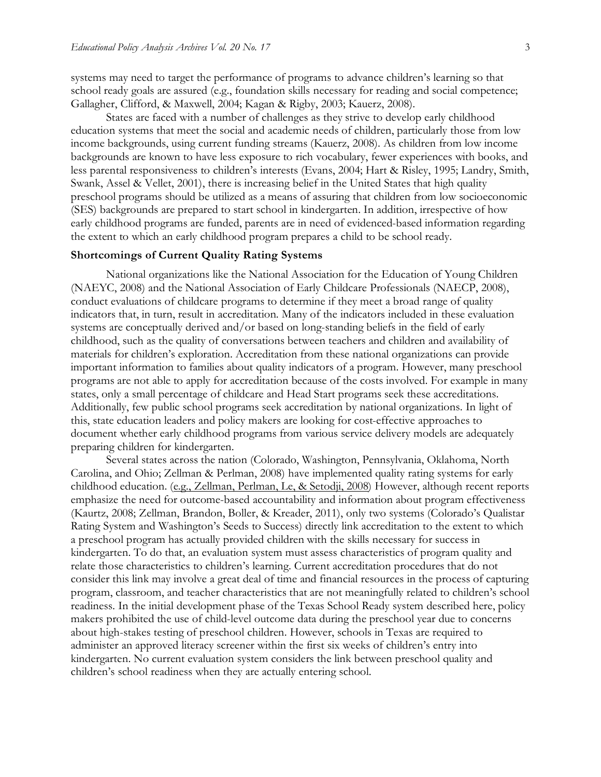systems may need to target the performance of programs to advance children's learning so that school ready goals are assured (e.g., foundation skills necessary for reading and social competence; Gallagher, Clifford, & Maxwell, 2004; Kagan & Rigby, 2003; Kauerz, 2008).

States are faced with a number of challenges as they strive to develop early childhood education systems that meet the social and academic needs of children, particularly those from low income backgrounds, using current funding streams (Kauerz, 2008). As children from low income backgrounds are known to have less exposure to rich vocabulary, fewer experiences with books, and less parental responsiveness to children's interests (Evans, 2004; Hart & Risley, 1995; Landry, Smith, Swank, Assel & Vellet, 2001), there is increasing belief in the United States that high quality preschool programs should be utilized as a means of assuring that children from low socioeconomic (SES) backgrounds are prepared to start school in kindergarten. In addition, irrespective of how early childhood programs are funded, parents are in need of evidenced-based information regarding the extent to which an early childhood program prepares a child to be school ready.

#### **Shortcomings of Current Quality Rating Systems**

National organizations like the National Association for the Education of Young Children (NAEYC, 2008) and the National Association of Early Childcare Professionals (NAECP, 2008), conduct evaluations of childcare programs to determine if they meet a broad range of quality indicators that, in turn, result in accreditation. Many of the indicators included in these evaluation systems are conceptually derived and/or based on long-standing beliefs in the field of early childhood, such as the quality of conversations between teachers and children and availability of materials for children's exploration. Accreditation from these national organizations can provide important information to families about quality indicators of a program. However, many preschool programs are not able to apply for accreditation because of the costs involved. For example in many states, only a small percentage of childcare and Head Start programs seek these accreditations. Additionally, few public school programs seek accreditation by national organizations. In light of this, state education leaders and policy makers are looking for cost-effective approaches to document whether early childhood programs from various service delivery models are adequately preparing children for kindergarten.

Several states across the nation (Colorado, Washington, Pennsylvania, Oklahoma, North Carolina, and Ohio; Zellman & Perlman, 2008) have implemented quality rating systems for early childhood education. (e.g., Zellman, Perlman, Le, & Setodji, 2008) However, although recent reports emphasize the need for outcome-based accountability and information about program effectiveness (Kaurtz, 2008; Zellman, Brandon, Boller, & Kreader, 2011), only two systems (Colorado's Qualistar Rating System and Washington's Seeds to Success) directly link accreditation to the extent to which a preschool program has actually provided children with the skills necessary for success in kindergarten. To do that, an evaluation system must assess characteristics of program quality and relate those characteristics to children's learning. Current accreditation procedures that do not consider this link may involve a great deal of time and financial resources in the process of capturing program, classroom, and teacher characteristics that are not meaningfully related to children's school readiness. In the initial development phase of the Texas School Ready system described here, policy makers prohibited the use of child-level outcome data during the preschool year due to concerns about high-stakes testing of preschool children. However, schools in Texas are required to administer an approved literacy screener within the first six weeks of children's entry into kindergarten. No current evaluation system considers the link between preschool quality and children's school readiness when they are actually entering school.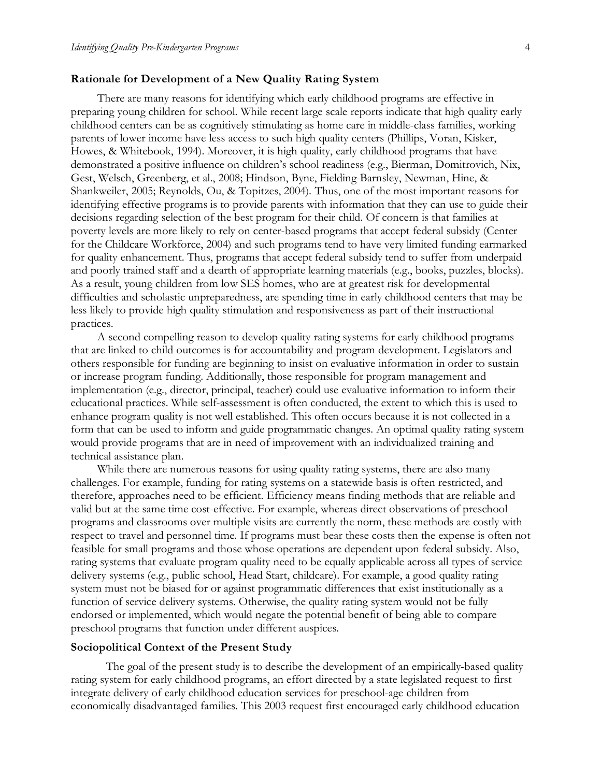#### **Rationale for Development of a New Quality Rating System**

There are many reasons for identifying which early childhood programs are effective in preparing young children for school. While recent large scale reports indicate that high quality early childhood centers can be as cognitively stimulating as home care in middle-class families, working parents of lower income have less access to such high quality centers (Phillips, Voran, Kisker, Howes, & Whitebook, 1994). Moreover, it is high quality, early childhood programs that have demonstrated a positive influence on children's school readiness (e.g., Bierman, Domitrovich, Nix, Gest, Welsch, Greenberg, et al., 2008; Hindson, Byne, Fielding-Barnsley, Newman, Hine, & Shankweiler, 2005; Reynolds, Ou, & Topitzes, 2004). Thus, one of the most important reasons for identifying effective programs is to provide parents with information that they can use to guide their decisions regarding selection of the best program for their child. Of concern is that families at poverty levels are more likely to rely on center-based programs that accept federal subsidy (Center for the Childcare Workforce, 2004) and such programs tend to have very limited funding earmarked for quality enhancement. Thus, programs that accept federal subsidy tend to suffer from underpaid and poorly trained staff and a dearth of appropriate learning materials (e.g., books, puzzles, blocks). As a result, young children from low SES homes, who are at greatest risk for developmental difficulties and scholastic unpreparedness, are spending time in early childhood centers that may be less likely to provide high quality stimulation and responsiveness as part of their instructional practices.

A second compelling reason to develop quality rating systems for early childhood programs that are linked to child outcomes is for accountability and program development. Legislators and others responsible for funding are beginning to insist on evaluative information in order to sustain or increase program funding. Additionally, those responsible for program management and implementation (e.g., director, principal, teacher) could use evaluative information to inform their educational practices. While self-assessment is often conducted, the extent to which this is used to enhance program quality is not well established. This often occurs because it is not collected in a form that can be used to inform and guide programmatic changes. An optimal quality rating system would provide programs that are in need of improvement with an individualized training and technical assistance plan.

While there are numerous reasons for using quality rating systems, there are also many challenges. For example, funding for rating systems on a statewide basis is often restricted, and therefore, approaches need to be efficient. Efficiency means finding methods that are reliable and valid but at the same time cost-effective. For example, whereas direct observations of preschool programs and classrooms over multiple visits are currently the norm, these methods are costly with respect to travel and personnel time. If programs must bear these costs then the expense is often not feasible for small programs and those whose operations are dependent upon federal subsidy. Also, rating systems that evaluate program quality need to be equally applicable across all types of service delivery systems (e.g., public school, Head Start, childcare). For example, a good quality rating system must not be biased for or against programmatic differences that exist institutionally as a function of service delivery systems. Otherwise, the quality rating system would not be fully endorsed or implemented, which would negate the potential benefit of being able to compare preschool programs that function under different auspices.

#### **Sociopolitical Context of the Present Study**

The goal of the present study is to describe the development of an empirically-based quality rating system for early childhood programs, an effort directed by a state legislated request to first integrate delivery of early childhood education services for preschool-age children from economically disadvantaged families. This 2003 request first encouraged early childhood education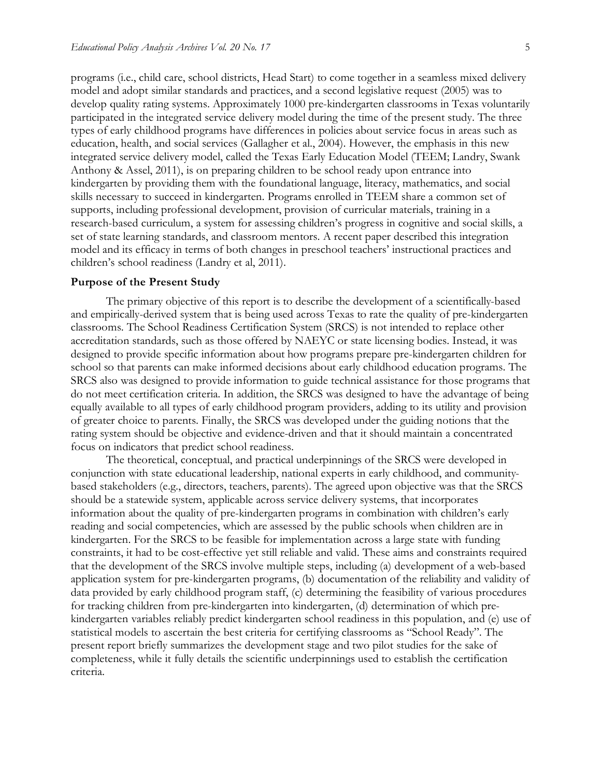programs (i.e., child care, school districts, Head Start) to come together in a seamless mixed delivery model and adopt similar standards and practices, and a second legislative request (2005) was to develop quality rating systems. Approximately 1000 pre-kindergarten classrooms in Texas voluntarily participated in the integrated service delivery model during the time of the present study. The three types of early childhood programs have differences in policies about service focus in areas such as education, health, and social services (Gallagher et al., 2004). However, the emphasis in this new integrated service delivery model, called the Texas Early Education Model (TEEM; Landry, Swank Anthony & Assel, 2011), is on preparing children to be school ready upon entrance into kindergarten by providing them with the foundational language, literacy, mathematics, and social skills necessary to succeed in kindergarten. Programs enrolled in TEEM share a common set of supports, including professional development, provision of curricular materials, training in a research-based curriculum, a system for assessing children's progress in cognitive and social skills, a set of state learning standards, and classroom mentors. A recent paper described this integration model and its efficacy in terms of both changes in preschool teachers' instructional practices and children's school readiness (Landry et al, 2011).

#### **Purpose of the Present Study**

The primary objective of this report is to describe the development of a scientifically-based and empirically-derived system that is being used across Texas to rate the quality of pre-kindergarten classrooms. The School Readiness Certification System (SRCS) is not intended to replace other accreditation standards, such as those offered by NAEYC or state licensing bodies. Instead, it was designed to provide specific information about how programs prepare pre-kindergarten children for school so that parents can make informed decisions about early childhood education programs. The SRCS also was designed to provide information to guide technical assistance for those programs that do not meet certification criteria. In addition, the SRCS was designed to have the advantage of being equally available to all types of early childhood program providers, adding to its utility and provision of greater choice to parents. Finally, the SRCS was developed under the guiding notions that the rating system should be objective and evidence-driven and that it should maintain a concentrated focus on indicators that predict school readiness.

The theoretical, conceptual, and practical underpinnings of the SRCS were developed in conjunction with state educational leadership, national experts in early childhood, and communitybased stakeholders (e.g., directors, teachers, parents). The agreed upon objective was that the SRCS should be a statewide system, applicable across service delivery systems, that incorporates information about the quality of pre-kindergarten programs in combination with children's early reading and social competencies, which are assessed by the public schools when children are in kindergarten. For the SRCS to be feasible for implementation across a large state with funding constraints, it had to be cost-effective yet still reliable and valid. These aims and constraints required that the development of the SRCS involve multiple steps, including (a) development of a web-based application system for pre-kindergarten programs, (b) documentation of the reliability and validity of data provided by early childhood program staff, (c) determining the feasibility of various procedures for tracking children from pre-kindergarten into kindergarten, (d) determination of which prekindergarten variables reliably predict kindergarten school readiness in this population, and (e) use of statistical models to ascertain the best criteria for certifying classrooms as "School Ready". The present report briefly summarizes the development stage and two pilot studies for the sake of completeness, while it fully details the scientific underpinnings used to establish the certification criteria.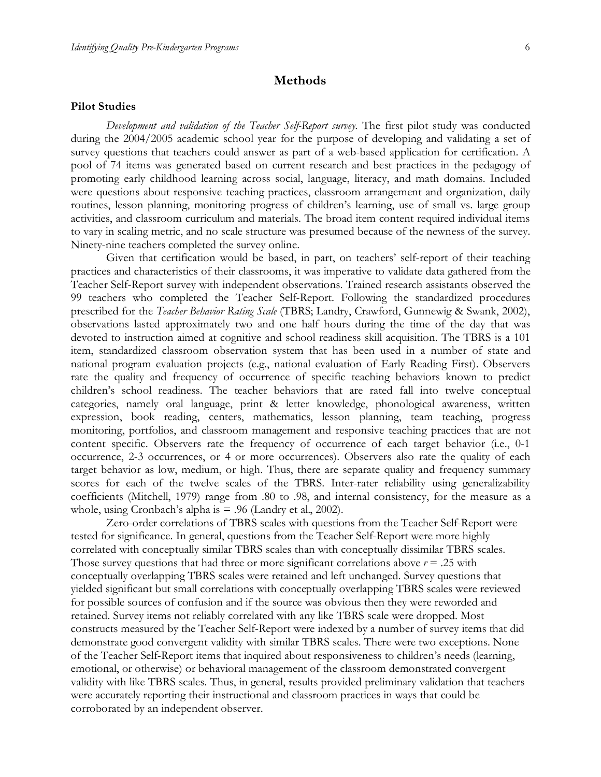# **Methods**

#### **Pilot Studies**

*Development and validation of the Teacher Self-Report survey.* The first pilot study was conducted during the 2004/2005 academic school year for the purpose of developing and validating a set of survey questions that teachers could answer as part of a web-based application for certification. A pool of 74 items was generated based on current research and best practices in the pedagogy of promoting early childhood learning across social, language, literacy, and math domains. Included were questions about responsive teaching practices, classroom arrangement and organization, daily routines, lesson planning, monitoring progress of children's learning, use of small vs. large group activities, and classroom curriculum and materials. The broad item content required individual items to vary in scaling metric, and no scale structure was presumed because of the newness of the survey. Ninety-nine teachers completed the survey online.

Given that certification would be based, in part, on teachers' self-report of their teaching practices and characteristics of their classrooms, it was imperative to validate data gathered from the Teacher Self-Report survey with independent observations. Trained research assistants observed the 99 teachers who completed the Teacher Self-Report. Following the standardized procedures prescribed for the *Teacher Behavior Rating Scale* (TBRS; Landry, Crawford, Gunnewig & Swank, 2002), observations lasted approximately two and one half hours during the time of the day that was devoted to instruction aimed at cognitive and school readiness skill acquisition. The TBRS is a 101 item, standardized classroom observation system that has been used in a number of state and national program evaluation projects (e.g., national evaluation of Early Reading First). Observers rate the quality and frequency of occurrence of specific teaching behaviors known to predict children's school readiness. The teacher behaviors that are rated fall into twelve conceptual categories, namely oral language, print & letter knowledge, phonological awareness, written expression, book reading, centers, mathematics, lesson planning, team teaching, progress monitoring, portfolios, and classroom management and responsive teaching practices that are not content specific. Observers rate the frequency of occurrence of each target behavior (i.e., 0-1 occurrence, 2-3 occurrences, or 4 or more occurrences). Observers also rate the quality of each target behavior as low, medium, or high. Thus, there are separate quality and frequency summary scores for each of the twelve scales of the TBRS. Inter-rater reliability using generalizability coefficients (Mitchell, 1979) range from .80 to .98, and internal consistency, for the measure as a whole, using Cronbach's alpha is  $= .96$  (Landry et al., 2002).

Zero-order correlations of TBRS scales with questions from the Teacher Self-Report were tested for significance. In general, questions from the Teacher Self-Report were more highly correlated with conceptually similar TBRS scales than with conceptually dissimilar TBRS scales. Those survey questions that had three or more significant correlations above *r* = .25 with conceptually overlapping TBRS scales were retained and left unchanged. Survey questions that yielded significant but small correlations with conceptually overlapping TBRS scales were reviewed for possible sources of confusion and if the source was obvious then they were reworded and retained. Survey items not reliably correlated with any like TBRS scale were dropped. Most constructs measured by the Teacher Self-Report were indexed by a number of survey items that did demonstrate good convergent validity with similar TBRS scales. There were two exceptions. None of the Teacher Self-Report items that inquired about responsiveness to children's needs (learning, emotional, or otherwise) or behavioral management of the classroom demonstrated convergent validity with like TBRS scales. Thus, in general, results provided preliminary validation that teachers were accurately reporting their instructional and classroom practices in ways that could be corroborated by an independent observer.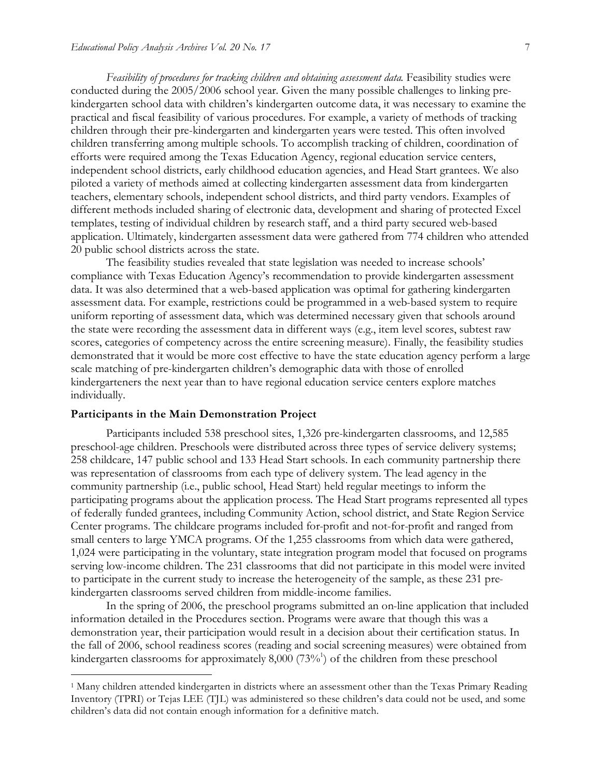*Feasibility of procedures for tracking children and obtaining assessment data*. Feasibility studies were conducted during the 2005/2006 school year. Given the many possible challenges to linking prekindergarten school data with children's kindergarten outcome data, it was necessary to examine the practical and fiscal feasibility of various procedures. For example, a variety of methods of tracking children through their pre-kindergarten and kindergarten years were tested. This often involved children transferring among multiple schools. To accomplish tracking of children, coordination of efforts were required among the Texas Education Agency, regional education service centers, independent school districts, early childhood education agencies, and Head Start grantees. We also piloted a variety of methods aimed at collecting kindergarten assessment data from kindergarten teachers, elementary schools, independent school districts, and third party vendors. Examples of different methods included sharing of electronic data, development and sharing of protected Excel templates, testing of individual children by research staff, and a third party secured web-based application. Ultimately, kindergarten assessment data were gathered from 774 children who attended 20 public school districts across the state.

The feasibility studies revealed that state legislation was needed to increase schools' compliance with Texas Education Agency's recommendation to provide kindergarten assessment data. It was also determined that a web-based application was optimal for gathering kindergarten assessment data. For example, restrictions could be programmed in a web-based system to require uniform reporting of assessment data, which was determined necessary given that schools around the state were recording the assessment data in different ways (e.g., item level scores, subtest raw scores, categories of competency across the entire screening measure). Finally, the feasibility studies demonstrated that it would be more cost effective to have the state education agency perform a large scale matching of pre-kindergarten children's demographic data with those of enrolled kindergarteners the next year than to have regional education service centers explore matches individually.

#### **Participants in the Main Demonstration Project**

Participants included 538 preschool sites, 1,326 pre-kindergarten classrooms, and 12,585 preschool-age children. Preschools were distributed across three types of service delivery systems; 258 childcare, 147 public school and 133 Head Start schools. In each community partnership there was representation of classrooms from each type of delivery system. The lead agency in the community partnership (i.e., public school, Head Start) held regular meetings to inform the participating programs about the application process. The Head Start programs represented all types of federally funded grantees, including Community Action, school district, and State Region Service Center programs. The childcare programs included for-profit and not-for-profit and ranged from small centers to large YMCA programs. Of the 1,255 classrooms from which data were gathered, 1,024 were participating in the voluntary, state integration program model that focused on programs serving low-income children. The 231 classrooms that did not participate in this model were invited to participate in the current study to increase the heterogeneity of the sample, as these 231 prekindergarten classrooms served children from middle-income families.

In the spring of 2006, the preschool programs submitted an on-line application that included information detailed in the Procedures section. Programs were aware that though this was a demonstration year, their participation would result in a decision about their certification status. In the fall of 2006, school readiness scores (reading and social screening measures) were obtained from kindergarten classrooms for approximately 8,000 (73%<sup>1</sup>) of the children from these preschool

 <sup>1</sup> Many children attended kindergarten in districts where an assessment other than the Texas Primary Reading Inventory (TPRI) or Tejas LEE (TJL) was administered so these children's data could not be used, and some children's data did not contain enough information for a definitive match.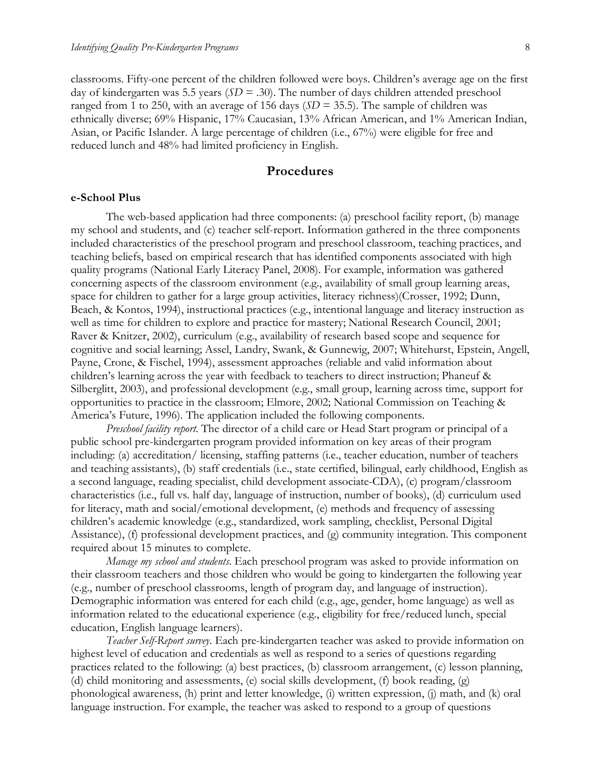classrooms. Fifty-one percent of the children followed were boys. Children's average age on the first day of kindergarten was 5.5 years (*SD* = .30). The number of days children attended preschool ranged from 1 to 250, with an average of 156 days (*SD* = 35.5). The sample of children was ethnically diverse; 69% Hispanic, 17% Caucasian, 13% African American, and 1% American Indian, Asian, or Pacific Islander. A large percentage of children (i.e., 67%) were eligible for free and reduced lunch and 48% had limited proficiency in English.

# **Procedures**

#### **e-School Plus**

The web-based application had three components: (a) preschool facility report, (b) manage my school and students, and (c) teacher self-report. Information gathered in the three components included characteristics of the preschool program and preschool classroom, teaching practices, and teaching beliefs, based on empirical research that has identified components associated with high quality programs (National Early Literacy Panel, 2008). For example, information was gathered concerning aspects of the classroom environment (e.g., availability of small group learning areas, space for children to gather for a large group activities, literacy richness)(Crosser, 1992; Dunn, Beach, & Kontos, 1994), instructional practices (e.g., intentional language and literacy instruction as well as time for children to explore and practice for mastery; National Research Council, 2001; Raver & Knitzer, 2002), curriculum (e.g., availability of research based scope and sequence for cognitive and social learning; Assel, Landry, Swank, & Gunnewig, 2007; Whitehurst, Epstein, Angell, Payne, Crone, & Fischel, 1994), assessment approaches (reliable and valid information about children's learning across the year with feedback to teachers to direct instruction; Phaneuf & Silberglitt, 2003), and professional development (e.g., small group, learning across time, support for opportunities to practice in the classroom; Elmore, 2002; National Commission on Teaching & America's Future, 1996). The application included the following components.

*Preschool facility report*. The director of a child care or Head Start program or principal of a public school pre-kindergarten program provided information on key areas of their program including: (a) accreditation/ licensing, staffing patterns (i.e., teacher education, number of teachers and teaching assistants), (b) staff credentials (i.e., state certified, bilingual, early childhood, English as a second language, reading specialist, child development associate-CDA), (c) program/classroom characteristics (i.e., full vs. half day, language of instruction, number of books), (d) curriculum used for literacy, math and social/emotional development, (e) methods and frequency of assessing children's academic knowledge (e.g., standardized, work sampling, checklist, Personal Digital Assistance), (f) professional development practices, and (g) community integration. This component required about 15 minutes to complete.

*Manage my school and students*. Each preschool program was asked to provide information on their classroom teachers and those children who would be going to kindergarten the following year (e.g., number of preschool classrooms, length of program day, and language of instruction). Demographic information was entered for each child (e.g., age, gender, home language) as well as information related to the educational experience (e.g., eligibility for free/reduced lunch, special education, English language learners).

*Teacher Self-Report survey*. Each pre-kindergarten teacher was asked to provide information on highest level of education and credentials as well as respond to a series of questions regarding practices related to the following: (a) best practices, (b) classroom arrangement, (c) lesson planning, (d) child monitoring and assessments, (e) social skills development, (f) book reading, (g) phonological awareness, (h) print and letter knowledge, (i) written expression, (j) math, and (k) oral language instruction. For example, the teacher was asked to respond to a group of questions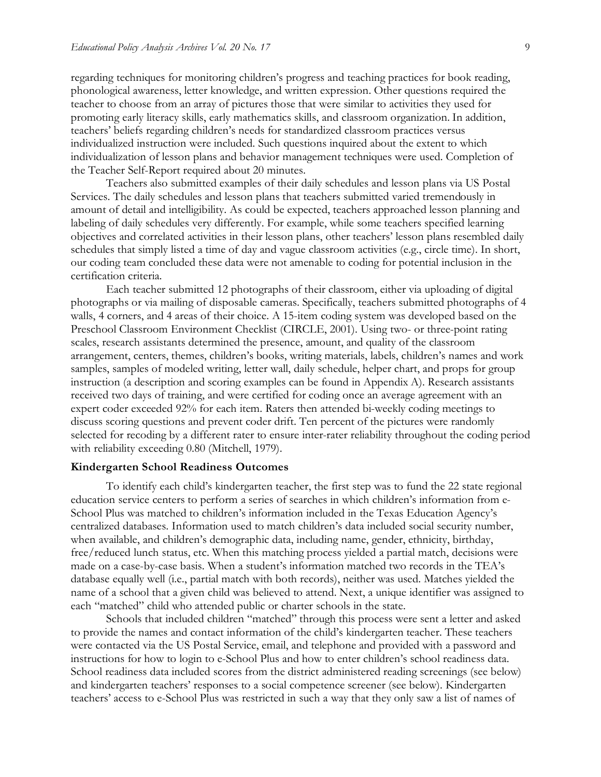regarding techniques for monitoring children's progress and teaching practices for book reading, phonological awareness, letter knowledge, and written expression. Other questions required the teacher to choose from an array of pictures those that were similar to activities they used for promoting early literacy skills, early mathematics skills, and classroom organization. In addition, teachers' beliefs regarding children's needs for standardized classroom practices versus individualized instruction were included. Such questions inquired about the extent to which individualization of lesson plans and behavior management techniques were used. Completion of the Teacher Self-Report required about 20 minutes.

Teachers also submitted examples of their daily schedules and lesson plans via US Postal Services. The daily schedules and lesson plans that teachers submitted varied tremendously in amount of detail and intelligibility. As could be expected, teachers approached lesson planning and labeling of daily schedules very differently. For example, while some teachers specified learning objectives and correlated activities in their lesson plans, other teachers' lesson plans resembled daily schedules that simply listed a time of day and vague classroom activities (e.g., circle time). In short, our coding team concluded these data were not amenable to coding for potential inclusion in the certification criteria.

Each teacher submitted 12 photographs of their classroom, either via uploading of digital photographs or via mailing of disposable cameras. Specifically, teachers submitted photographs of 4 walls, 4 corners, and 4 areas of their choice. A 15-item coding system was developed based on the Preschool Classroom Environment Checklist (CIRCLE, 2001). Using two- or three-point rating scales, research assistants determined the presence, amount, and quality of the classroom arrangement, centers, themes, children's books, writing materials, labels, children's names and work samples, samples of modeled writing, letter wall, daily schedule, helper chart, and props for group instruction (a description and scoring examples can be found in Appendix A). Research assistants received two days of training, and were certified for coding once an average agreement with an expert coder exceeded 92% for each item. Raters then attended bi-weekly coding meetings to discuss scoring questions and prevent coder drift. Ten percent of the pictures were randomly selected for recoding by a different rater to ensure inter-rater reliability throughout the coding period with reliability exceeding 0.80 (Mitchell, 1979).

#### **Kindergarten School Readiness Outcomes**

To identify each child's kindergarten teacher, the first step was to fund the 22 state regional education service centers to perform a series of searches in which children's information from e-School Plus was matched to children's information included in the Texas Education Agency's centralized databases. Information used to match children's data included social security number, when available, and children's demographic data, including name, gender, ethnicity, birthday, free/reduced lunch status, etc. When this matching process yielded a partial match, decisions were made on a case-by-case basis. When a student's information matched two records in the TEA's database equally well (i.e., partial match with both records), neither was used. Matches yielded the name of a school that a given child was believed to attend. Next, a unique identifier was assigned to each "matched" child who attended public or charter schools in the state.

Schools that included children "matched" through this process were sent a letter and asked to provide the names and contact information of the child's kindergarten teacher. These teachers were contacted via the US Postal Service, email, and telephone and provided with a password and instructions for how to login to e-School Plus and how to enter children's school readiness data. School readiness data included scores from the district administered reading screenings (see below) and kindergarten teachers' responses to a social competence screener (see below). Kindergarten teachers' access to e-School Plus was restricted in such a way that they only saw a list of names of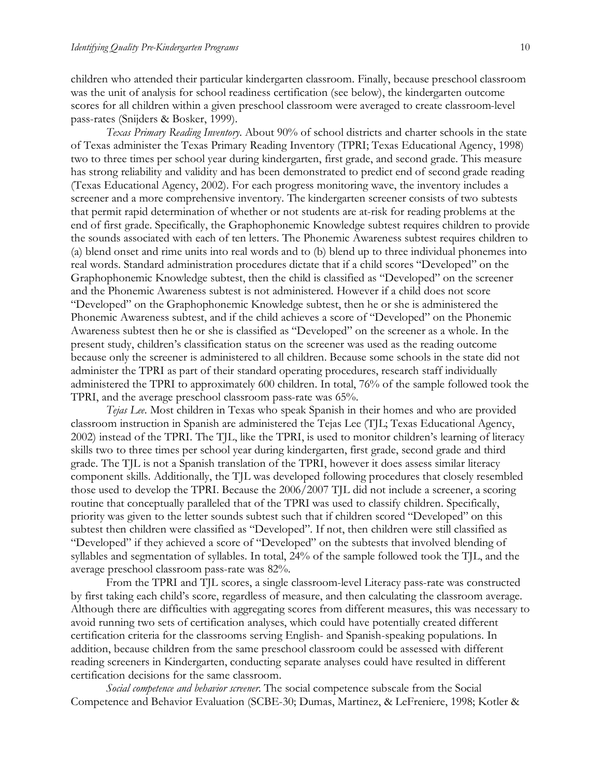children who attended their particular kindergarten classroom. Finally, because preschool classroom was the unit of analysis for school readiness certification (see below), the kindergarten outcome scores for all children within a given preschool classroom were averaged to create classroom-level pass-rates (Snijders & Bosker, 1999).

*Texas Primary Reading Inventory*. About 90% of school districts and charter schools in the state of Texas administer the Texas Primary Reading Inventory (TPRI; Texas Educational Agency, 1998) two to three times per school year during kindergarten, first grade, and second grade. This measure has strong reliability and validity and has been demonstrated to predict end of second grade reading (Texas Educational Agency, 2002). For each progress monitoring wave, the inventory includes a screener and a more comprehensive inventory. The kindergarten screener consists of two subtests that permit rapid determination of whether or not students are at-risk for reading problems at the end of first grade. Specifically, the Graphophonemic Knowledge subtest requires children to provide the sounds associated with each of ten letters. The Phonemic Awareness subtest requires children to (a) blend onset and rime units into real words and to (b) blend up to three individual phonemes into real words. Standard administration procedures dictate that if a child scores "Developed" on the Graphophonemic Knowledge subtest, then the child is classified as "Developed" on the screener and the Phonemic Awareness subtest is not administered. However if a child does not score "Developed" on the Graphophonemic Knowledge subtest, then he or she is administered the Phonemic Awareness subtest, and if the child achieves a score of "Developed" on the Phonemic Awareness subtest then he or she is classified as "Developed" on the screener as a whole. In the present study, children's classification status on the screener was used as the reading outcome because only the screener is administered to all children. Because some schools in the state did not administer the TPRI as part of their standard operating procedures, research staff individually administered the TPRI to approximately 600 children. In total, 76% of the sample followed took the TPRI, and the average preschool classroom pass-rate was 65%.

*Tejas Lee*. Most children in Texas who speak Spanish in their homes and who are provided classroom instruction in Spanish are administered the Tejas Lee (TJL; Texas Educational Agency, 2002) instead of the TPRI. The TJL, like the TPRI, is used to monitor children's learning of literacy skills two to three times per school year during kindergarten, first grade, second grade and third grade. The TJL is not a Spanish translation of the TPRI, however it does assess similar literacy component skills. Additionally, the TJL was developed following procedures that closely resembled those used to develop the TPRI. Because the 2006/2007 TJL did not include a screener, a scoring routine that conceptually paralleled that of the TPRI was used to classify children. Specifically, priority was given to the letter sounds subtest such that if children scored "Developed" on this subtest then children were classified as "Developed". If not, then children were still classified as "Developed" if they achieved a score of "Developed" on the subtests that involved blending of syllables and segmentation of syllables. In total, 24% of the sample followed took the TJL, and the average preschool classroom pass-rate was 82%.

From the TPRI and TJL scores, a single classroom-level Literacy pass-rate was constructed by first taking each child's score, regardless of measure, and then calculating the classroom average. Although there are difficulties with aggregating scores from different measures, this was necessary to avoid running two sets of certification analyses, which could have potentially created different certification criteria for the classrooms serving English- and Spanish-speaking populations. In addition, because children from the same preschool classroom could be assessed with different reading screeners in Kindergarten, conducting separate analyses could have resulted in different certification decisions for the same classroom.

*Social competence and behavior screener*. The social competence subscale from the Social Competence and Behavior Evaluation (SCBE-30; Dumas, Martinez, & LeFreniere, 1998; Kotler &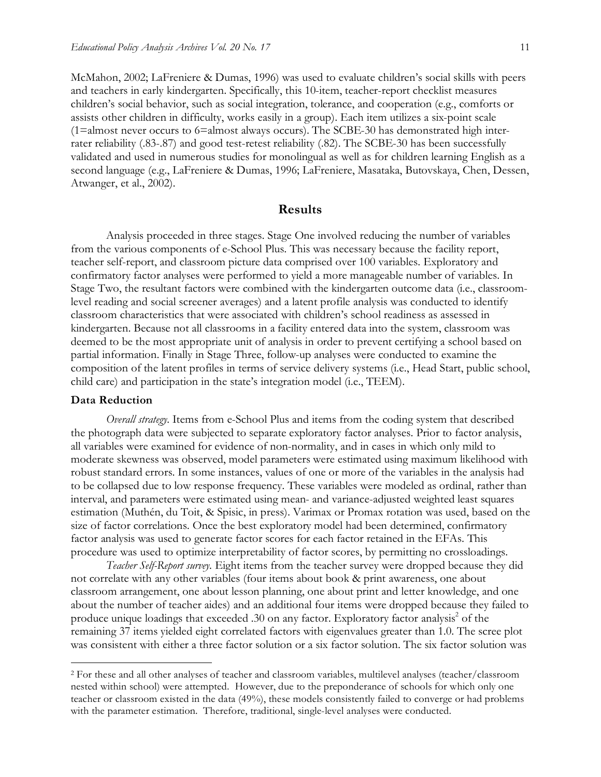McMahon, 2002; LaFreniere & Dumas, 1996) was used to evaluate children's social skills with peers and teachers in early kindergarten. Specifically, this 10-item, teacher-report checklist measures children's social behavior, such as social integration, tolerance, and cooperation (e.g., comforts or assists other children in difficulty, works easily in a group). Each item utilizes a six-point scale (1=almost never occurs to 6=almost always occurs). The SCBE-30 has demonstrated high interrater reliability (.83-.87) and good test-retest reliability (.82). The SCBE-30 has been successfully validated and used in numerous studies for monolingual as well as for children learning English as a second language (e.g., LaFreniere & Dumas, 1996; LaFreniere, Masataka, Butovskaya, Chen, Dessen, Atwanger, et al., 2002).

#### **Results**

Analysis proceeded in three stages. Stage One involved reducing the number of variables from the various components of e-School Plus. This was necessary because the facility report, teacher self-report, and classroom picture data comprised over 100 variables. Exploratory and confirmatory factor analyses were performed to yield a more manageable number of variables. In Stage Two, the resultant factors were combined with the kindergarten outcome data (i.e., classroomlevel reading and social screener averages) and a latent profile analysis was conducted to identify classroom characteristics that were associated with children's school readiness as assessed in kindergarten. Because not all classrooms in a facility entered data into the system, classroom was deemed to be the most appropriate unit of analysis in order to prevent certifying a school based on partial information. Finally in Stage Three, follow-up analyses were conducted to examine the composition of the latent profiles in terms of service delivery systems (i.e., Head Start, public school, child care) and participation in the state's integration model (i.e., TEEM).

#### **Data Reduction**

*Overall strategy.* Items from e-School Plus and items from the coding system that described the photograph data were subjected to separate exploratory factor analyses. Prior to factor analysis, all variables were examined for evidence of non-normality, and in cases in which only mild to moderate skewness was observed, model parameters were estimated using maximum likelihood with robust standard errors. In some instances, values of one or more of the variables in the analysis had to be collapsed due to low response frequency. These variables were modeled as ordinal, rather than interval, and parameters were estimated using mean- and variance-adjusted weighted least squares estimation (Muthén, du Toit, & Spisic, in press). Varimax or Promax rotation was used, based on the size of factor correlations. Once the best exploratory model had been determined, confirmatory factor analysis was used to generate factor scores for each factor retained in the EFAs. This procedure was used to optimize interpretability of factor scores, by permitting no crossloadings.

*Teacher Self-Report survey.* Eight items from the teacher survey were dropped because they did not correlate with any other variables (four items about book & print awareness, one about classroom arrangement, one about lesson planning, one about print and letter knowledge, and one about the number of teacher aides) and an additional four items were dropped because they failed to produce unique loadings that exceeded .30 on any factor. Exploratory factor analysis<sup>2</sup> of the remaining 37 items yielded eight correlated factors with eigenvalues greater than 1.0. The scree plot was consistent with either a three factor solution or a six factor solution. The six factor solution was

 <sup>2</sup> For these and all other analyses of teacher and classroom variables, multilevel analyses (teacher/classroom nested within school) were attempted. However, due to the preponderance of schools for which only one teacher or classroom existed in the data (49%), these models consistently failed to converge or had problems with the parameter estimation. Therefore, traditional, single-level analyses were conducted.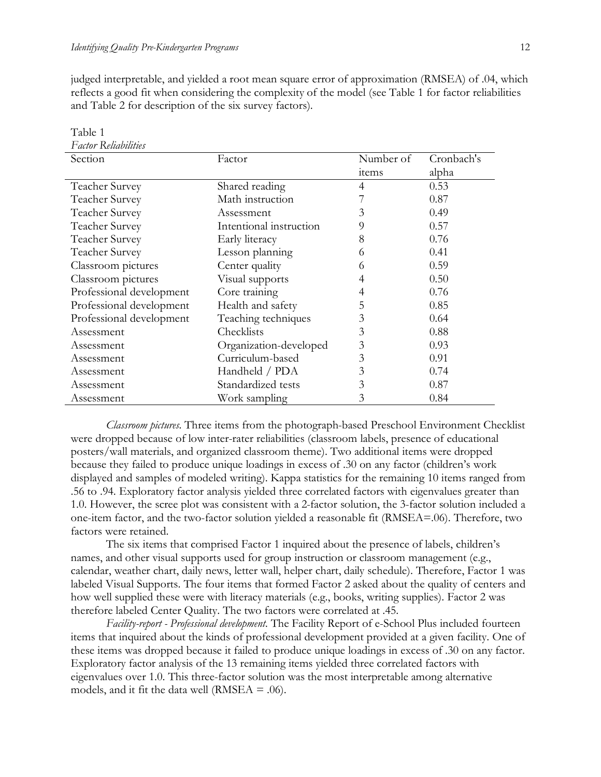Table 1

judged interpretable, and yielded a root mean square error of approximation (RMSEA) of .04, which reflects a good fit when considering the complexity of the model (see Table 1 for factor reliabilities and Table 2 for description of the six survey factors).

| Factor Reliabilities     |                         |           |            |
|--------------------------|-------------------------|-----------|------------|
| Section                  | Factor                  | Number of | Cronbach's |
|                          |                         | items     | alpha      |
| Teacher Survey           | Shared reading          | 4         | 0.53       |
| Teacher Survey           | Math instruction        |           | 0.87       |
| Teacher Survey           | Assessment              | 3         | 0.49       |
| Teacher Survey           | Intentional instruction | 9         | 0.57       |
| Teacher Survey           | Early literacy          | 8         | 0.76       |
| Teacher Survey           | Lesson planning         | 6         | 0.41       |
| Classroom pictures       | Center quality          | 6         | 0.59       |
| Classroom pictures       | Visual supports         | 4         | 0.50       |
| Professional development | Core training           | 4         | 0.76       |
| Professional development | Health and safety       | 5         | 0.85       |
| Professional development | Teaching techniques     | 3         | 0.64       |
| Assessment               | Checklists              | 3         | 0.88       |
| Assessment               | Organization-developed  | 3         | 0.93       |
| Assessment               | Curriculum-based        | 3         | 0.91       |
| Assessment               | Handheld / PDA          | 3         | 0.74       |
| Assessment               | Standardized tests      | 3         | 0.87       |
| Assessment               | Work sampling           | 3         | 0.84       |

*Classroom pictures.* Three items from the photograph-based Preschool Environment Checklist were dropped because of low inter-rater reliabilities (classroom labels, presence of educational posters/wall materials, and organized classroom theme). Two additional items were dropped because they failed to produce unique loadings in excess of .30 on any factor (children's work displayed and samples of modeled writing). Kappa statistics for the remaining 10 items ranged from .56 to .94. Exploratory factor analysis yielded three correlated factors with eigenvalues greater than 1.0. However, the scree plot was consistent with a 2-factor solution, the 3-factor solution included a one-item factor, and the two-factor solution yielded a reasonable fit (RMSEA=.06). Therefore, two factors were retained.

The six items that comprised Factor 1 inquired about the presence of labels, children's names, and other visual supports used for group instruction or classroom management (e.g., calendar, weather chart, daily news, letter wall, helper chart, daily schedule). Therefore, Factor 1 was labeled Visual Supports. The four items that formed Factor 2 asked about the quality of centers and how well supplied these were with literacy materials (e.g., books, writing supplies). Factor 2 was therefore labeled Center Quality. The two factors were correlated at .45.

*Facility-report - Professional development.* The Facility Report of e-School Plus included fourteen items that inquired about the kinds of professional development provided at a given facility. One of these items was dropped because it failed to produce unique loadings in excess of .30 on any factor. Exploratory factor analysis of the 13 remaining items yielded three correlated factors with eigenvalues over 1.0. This three-factor solution was the most interpretable among alternative models, and it fit the data well (RMSEA  $=$  .06).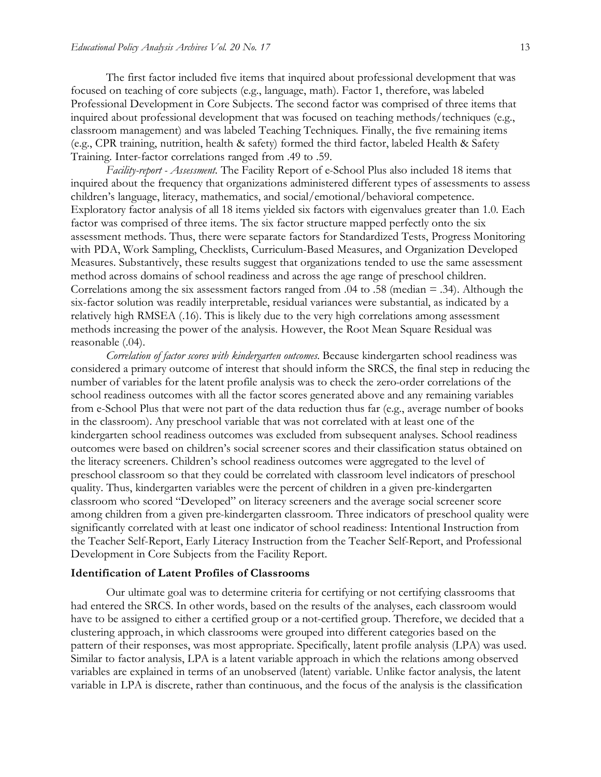The first factor included five items that inquired about professional development that was focused on teaching of core subjects (e.g., language, math). Factor 1, therefore, was labeled Professional Development in Core Subjects. The second factor was comprised of three items that inquired about professional development that was focused on teaching methods/techniques (e.g., classroom management) and was labeled Teaching Techniques. Finally, the five remaining items (e.g., CPR training, nutrition, health & safety) formed the third factor, labeled Health & Safety Training. Inter-factor correlations ranged from .49 to .59.

*Facility-report - Assessment.* The Facility Report of e-School Plus also included 18 items that inquired about the frequency that organizations administered different types of assessments to assess children's language, literacy, mathematics, and social/emotional/behavioral competence. Exploratory factor analysis of all 18 items yielded six factors with eigenvalues greater than 1.0. Each factor was comprised of three items. The six factor structure mapped perfectly onto the six assessment methods. Thus, there were separate factors for Standardized Tests, Progress Monitoring with PDA, Work Sampling, Checklists, Curriculum-Based Measures, and Organization Developed Measures. Substantively, these results suggest that organizations tended to use the same assessment method across domains of school readiness and across the age range of preschool children. Correlations among the six assessment factors ranged from .04 to .58 (median = .34). Although the six-factor solution was readily interpretable, residual variances were substantial, as indicated by a relatively high RMSEA (.16). This is likely due to the very high correlations among assessment methods increasing the power of the analysis. However, the Root Mean Square Residual was reasonable (.04).

*Correlation of factor scores with kindergarten outcomes.* Because kindergarten school readiness was considered a primary outcome of interest that should inform the SRCS, the final step in reducing the number of variables for the latent profile analysis was to check the zero-order correlations of the school readiness outcomes with all the factor scores generated above and any remaining variables from e-School Plus that were not part of the data reduction thus far (e.g., average number of books in the classroom). Any preschool variable that was not correlated with at least one of the kindergarten school readiness outcomes was excluded from subsequent analyses. School readiness outcomes were based on children's social screener scores and their classification status obtained on the literacy screeners. Children's school readiness outcomes were aggregated to the level of preschool classroom so that they could be correlated with classroom level indicators of preschool quality. Thus, kindergarten variables were the percent of children in a given pre-kindergarten classroom who scored "Developed" on literacy screeners and the average social screener score among children from a given pre-kindergarten classroom. Three indicators of preschool quality were significantly correlated with at least one indicator of school readiness: Intentional Instruction from the Teacher Self-Report, Early Literacy Instruction from the Teacher Self-Report, and Professional Development in Core Subjects from the Facility Report.

#### **Identification of Latent Profiles of Classrooms**

Our ultimate goal was to determine criteria for certifying or not certifying classrooms that had entered the SRCS. In other words, based on the results of the analyses, each classroom would have to be assigned to either a certified group or a not-certified group. Therefore, we decided that a clustering approach, in which classrooms were grouped into different categories based on the pattern of their responses, was most appropriate. Specifically, latent profile analysis (LPA) was used. Similar to factor analysis, LPA is a latent variable approach in which the relations among observed variables are explained in terms of an unobserved (latent) variable. Unlike factor analysis, the latent variable in LPA is discrete, rather than continuous, and the focus of the analysis is the classification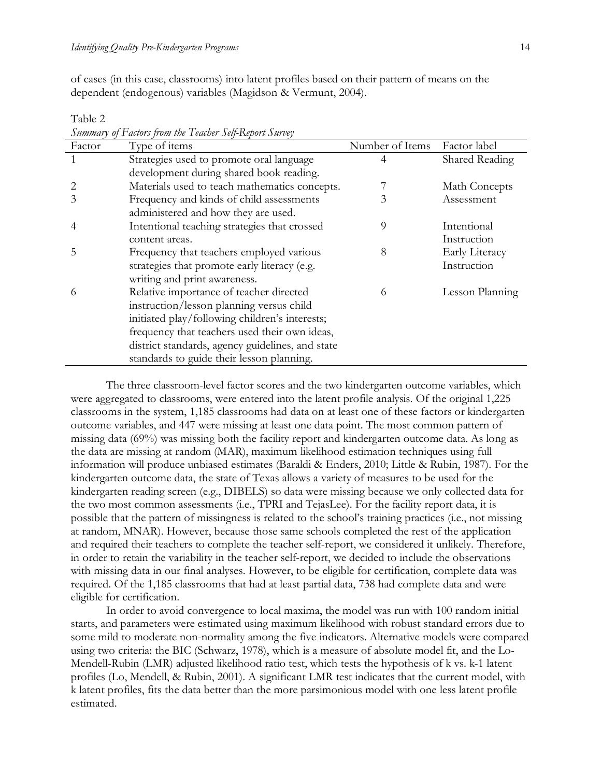Table 2

of cases (in this case, classrooms) into latent profiles based on their pattern of means on the dependent (endogenous) variables (Magidson & Vermunt, 2004).

| Factor | Type of items                                    | Number of Items | Factor label    |
|--------|--------------------------------------------------|-----------------|-----------------|
|        | Strategies used to promote oral language         | 4               | Shared Reading  |
|        | development during shared book reading.          |                 |                 |
|        | Materials used to teach mathematics concepts.    |                 | Math Concepts   |
| 3      | Frequency and kinds of child assessments         | 3               | Assessment      |
|        | administered and how they are used.              |                 |                 |
|        | Intentional teaching strategies that crossed     | 9               | Intentional     |
|        | content areas.                                   |                 | Instruction     |
| 5      | Frequency that teachers employed various         | 8               | Early Literacy  |
|        | strategies that promote early literacy (e.g.     |                 | Instruction     |
|        | writing and print awareness.                     |                 |                 |
| 6      | Relative importance of teacher directed          | 6               | Lesson Planning |
|        | instruction/lesson planning versus child         |                 |                 |
|        | initiated play/following children's interests;   |                 |                 |
|        | frequency that teachers used their own ideas,    |                 |                 |
|        | district standards, agency guidelines, and state |                 |                 |
|        | standards to guide their lesson planning.        |                 |                 |

*Summary of Factors from the Teacher Self-Report Survey*

The three classroom-level factor scores and the two kindergarten outcome variables, which were aggregated to classrooms, were entered into the latent profile analysis. Of the original 1,225 classrooms in the system, 1,185 classrooms had data on at least one of these factors or kindergarten outcome variables, and 447 were missing at least one data point. The most common pattern of missing data (69%) was missing both the facility report and kindergarten outcome data. As long as the data are missing at random (MAR), maximum likelihood estimation techniques using full information will produce unbiased estimates (Baraldi & Enders, 2010; Little & Rubin, 1987). For the kindergarten outcome data, the state of Texas allows a variety of measures to be used for the kindergarten reading screen (e.g., DIBELS) so data were missing because we only collected data for the two most common assessments (i.e., TPRI and TejasLee). For the facility report data, it is possible that the pattern of missingness is related to the school's training practices (i.e., not missing at random, MNAR). However, because those same schools completed the rest of the application and required their teachers to complete the teacher self-report, we considered it unlikely. Therefore, in order to retain the variability in the teacher self-report, we decided to include the observations with missing data in our final analyses. However, to be eligible for certification, complete data was required. Of the 1,185 classrooms that had at least partial data, 738 had complete data and were eligible for certification.

In order to avoid convergence to local maxima, the model was run with 100 random initial starts, and parameters were estimated using maximum likelihood with robust standard errors due to some mild to moderate non-normality among the five indicators. Alternative models were compared using two criteria: the BIC (Schwarz, 1978), which is a measure of absolute model fit, and the Lo-Mendell-Rubin (LMR) adjusted likelihood ratio test, which tests the hypothesis of k vs. k-1 latent profiles (Lo, Mendell, & Rubin, 2001). A significant LMR test indicates that the current model, with k latent profiles, fits the data better than the more parsimonious model with one less latent profile estimated.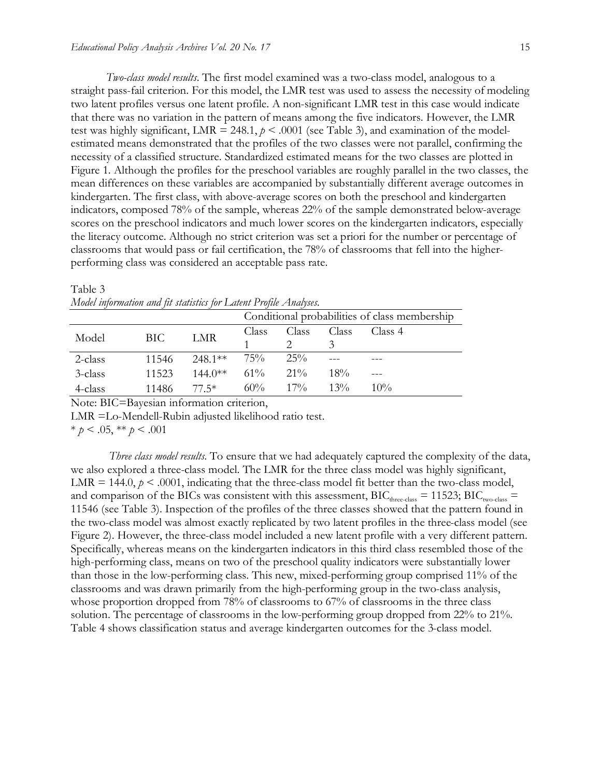*Two-class model results*. The first model examined was a two-class model, analogous to a straight pass-fail criterion. For this model, the LMR test was used to assess the necessity of modeling two latent profiles versus one latent profile. A non-significant LMR test in this case would indicate that there was no variation in the pattern of means among the five indicators. However, the LMR test was highly significant, LMR = 248.1,  $p < .0001$  (see Table 3), and examination of the modelestimated means demonstrated that the profiles of the two classes were not parallel, confirming the necessity of a classified structure. Standardized estimated means for the two classes are plotted in Figure 1. Although the profiles for the preschool variables are roughly parallel in the two classes, the mean differences on these variables are accompanied by substantially different average outcomes in kindergarten. The first class, with above-average scores on both the preschool and kindergarten indicators, composed 78% of the sample, whereas 22% of the sample demonstrated below-average scores on the preschool indicators and much lower scores on the kindergarten indicators, especially the literacy outcome. Although no strict criterion was set a priori for the number or percentage of classrooms that would pass or fail certification, the 78% of classrooms that fell into the higherperforming class was considered an acceptable pass rate.

|         |       |                            | Conditional probabilities of class membership |                      |        |         |
|---------|-------|----------------------------|-----------------------------------------------|----------------------|--------|---------|
| Model   | BIC   | LMR                        | Class                                         | Class                | Class  | Class 4 |
| 2-class | 11546 | $248.1**$ 75% $25\%$       |                                               |                      |        |         |
| 3-class | 11523 | $144.0^{**}$ $61\%$ $21\%$ |                                               |                      | $18\%$ |         |
| 4-class |       | 11486 77.5*                |                                               | $60\%$ $17\%$ $13\%$ |        | $10\%$  |

Table 3 *Model information and fit statistics for Latent Profile Analyses.*

Note: BIC=Bayesian information criterion,

LMR =Lo-Mendell-Rubin adjusted likelihood ratio test.

\* *p* < .05, \*\* *p* < .001

 *Three class model results*. To ensure that we had adequately captured the complexity of the data, we also explored a three-class model. The LMR for the three class model was highly significant, LMR  $= 144.0, p \le 0.001$ , indicating that the three-class model fit better than the two-class model, and comparison of the BICs was consistent with this assessment,  $BIC<sub>three-class</sub> = 11523$ ;  $BIC<sub>two-class</sub> =$ 11546 (see Table 3). Inspection of the profiles of the three classes showed that the pattern found in the two-class model was almost exactly replicated by two latent profiles in the three-class model (see Figure 2). However, the three-class model included a new latent profile with a very different pattern. Specifically, whereas means on the kindergarten indicators in this third class resembled those of the high-performing class, means on two of the preschool quality indicators were substantially lower than those in the low-performing class. This new, mixed-performing group comprised 11% of the classrooms and was drawn primarily from the high-performing group in the two-class analysis, whose proportion dropped from 78% of classrooms to 67% of classrooms in the three class solution. The percentage of classrooms in the low-performing group dropped from 22% to 21%. Table 4 shows classification status and average kindergarten outcomes for the 3-class model.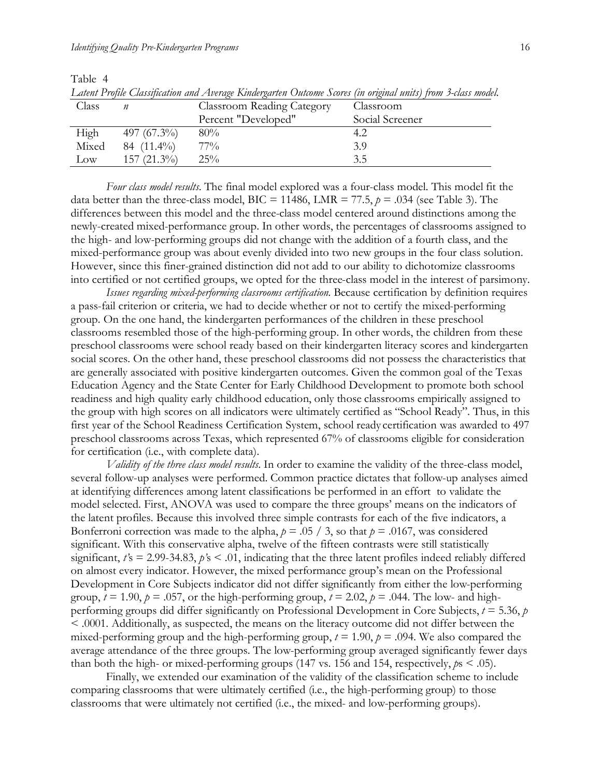Table 4

| Class |                | <b>Classroom Reading Category</b> | Classroom       |
|-------|----------------|-----------------------------------|-----------------|
|       |                | Percent "Developed"               | Social Screener |
| High  | 497 $(67.3\%)$ | 80%                               | 4.2             |
| Mixed | 84 $(11.4\%)$  | $77\%$                            | 3.9             |
| Low   | $157(21.3\%)$  | 25%                               | 3.5             |

*Latent Profile Classification and Average Kindergarten Outcome Scores (in original units) from 3-class model.*

*Four class model results*. The final model explored was a four-class model. This model fit the data better than the three-class model,  $BIC = 11486$ ,  $LMR = 77.5$ ,  $p = .034$  (see Table 3). The differences between this model and the three-class model centered around distinctions among the newly-created mixed-performance group. In other words, the percentages of classrooms assigned to the high- and low-performing groups did not change with the addition of a fourth class, and the mixed-performance group was about evenly divided into two new groups in the four class solution. However, since this finer-grained distinction did not add to our ability to dichotomize classrooms into certified or not certified groups, we opted for the three-class model in the interest of parsimony.

*Issues regarding mixed-performing classrooms certification*. Because certification by definition requires a pass-fail criterion or criteria, we had to decide whether or not to certify the mixed-performing group. On the one hand, the kindergarten performances of the children in these preschool classrooms resembled those of the high-performing group. In other words, the children from these preschool classrooms were school ready based on their kindergarten literacy scores and kindergarten social scores. On the other hand, these preschool classrooms did not possess the characteristics that are generally associated with positive kindergarten outcomes. Given the common goal of the Texas Education Agency and the State Center for Early Childhood Development to promote both school readiness and high quality early childhood education, only those classrooms empirically assigned to the group with high scores on all indicators were ultimately certified as "School Ready". Thus, in this first year of the School Readiness Certification System, school ready certification was awarded to 497 preschool classrooms across Texas, which represented 67% of classrooms eligible for consideration for certification (i.e., with complete data).

*Validity of the three class model results*. In order to examine the validity of the three-class model, several follow-up analyses were performed. Common practice dictates that follow-up analyses aimed at identifying differences among latent classifications be performed in an effort to validate the model selected. First, ANOVA was used to compare the three groups' means on the indicators of the latent profiles. Because this involved three simple contrasts for each of the five indicators, a Bonferroni correction was made to the alpha,  $p = .05 / 3$ , so that  $p = .0167$ , was considered significant. With this conservative alpha, twelve of the fifteen contrasts were still statistically significant,  $t's = 2.99 - 34.83$ ,  $p's < .01$ , indicating that the three latent profiles indeed reliably differed on almost every indicator. However, the mixed performance group's mean on the Professional Development in Core Subjects indicator did not differ significantly from either the low-performing group,  $t = 1.90$ ,  $p = .057$ , or the high-performing group,  $t = 2.02$ ,  $p = .044$ . The low- and highperforming groups did differ significantly on Professional Development in Core Subjects, *t* = 5.36, *p*  < .0001. Additionally, as suspected, the means on the literacy outcome did not differ between the mixed-performing group and the high-performing group,  $t = 1.90$ ,  $p = .094$ . We also compared the average attendance of the three groups. The low-performing group averaged significantly fewer days than both the high- or mixed-performing groups (147 vs. 156 and 154, respectively,  $p_s < .05$ ).

Finally, we extended our examination of the validity of the classification scheme to include comparing classrooms that were ultimately certified (i.e., the high-performing group) to those classrooms that were ultimately not certified (i.e., the mixed- and low-performing groups).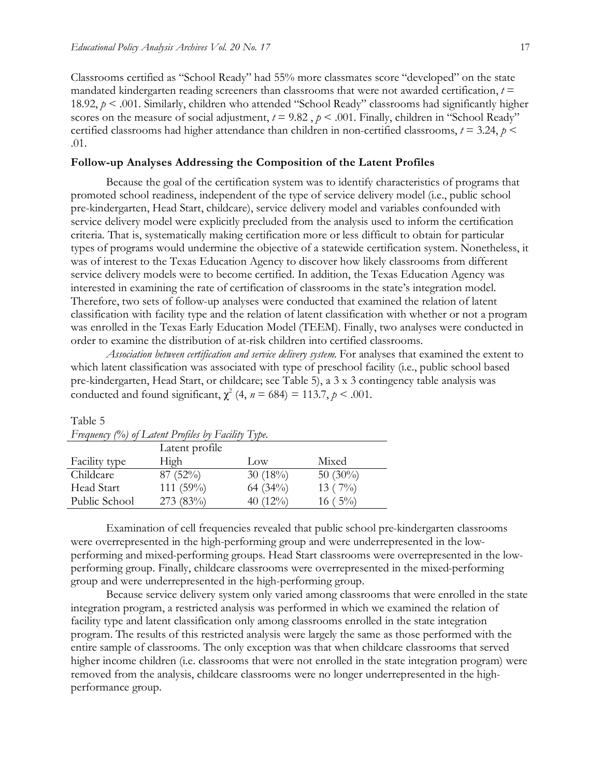Classrooms certified as "School Ready" had 55% more classmates score "developed" on the state mandated kindergarten reading screeners than classrooms that were not awarded certification,  $t =$ 18.92, *p* < .001. Similarly, children who attended "School Ready" classrooms had significantly higher scores on the measure of social adjustment,  $t = 9.82$ ,  $p < .001$ . Finally, children in "School Ready" certified classrooms had higher attendance than children in non-certified classrooms,  $t = 3.24$ ,  $p <$ .01.

#### **Follow-up Analyses Addressing the Composition of the Latent Profiles**

Because the goal of the certification system was to identify characteristics of programs that promoted school readiness, independent of the type of service delivery model (i.e., public school pre-kindergarten, Head Start, childcare), service delivery model and variables confounded with service delivery model were explicitly precluded from the analysis used to inform the certification criteria. That is, systematically making certification more or less difficult to obtain for particular types of programs would undermine the objective of a statewide certification system. Nonetheless, it was of interest to the Texas Education Agency to discover how likely classrooms from different service delivery models were to become certified. In addition, the Texas Education Agency was interested in examining the rate of certification of classrooms in the state's integration model. Therefore, two sets of follow-up analyses were conducted that examined the relation of latent classification with facility type and the relation of latent classification with whether or not a program was enrolled in the Texas Early Education Model (TEEM). Finally, two analyses were conducted in order to examine the distribution of at-risk children into certified classrooms.

*Association between certification and service delivery system*. For analyses that examined the extent to which latent classification was associated with type of preschool facility (i.e., public school based pre-kindergarten, Head Start, or childcare; see Table 5), a 3 x 3 contingency table analysis was conducted and found significant,  $\chi^2$  (4,  $n = 684$ ) = 113.7,  $p < .001$ .

| Frequency $(\%)$ of Latent Profiles by Facility Type. |                |             |             |  |  |
|-------------------------------------------------------|----------------|-------------|-------------|--|--|
|                                                       | Latent profile |             |             |  |  |
| Facility type                                         | High           | Low         | Mixed       |  |  |
| Childcare                                             | $87(52\%)$     | $30(18\%)$  | 50 $(30\%)$ |  |  |
| Head Start                                            | 111 (59%)      | 64 (34%)    | 13 $(7%)$   |  |  |
| Public School                                         | 273 (83%)      | 40 $(12\%)$ | $16(5\%)$   |  |  |

# Table 5

Examination of cell frequencies revealed that public school pre-kindergarten classrooms were overrepresented in the high-performing group and were underrepresented in the lowperforming and mixed-performing groups. Head Start classrooms were overrepresented in the lowperforming group. Finally, childcare classrooms were overrepresented in the mixed-performing group and were underrepresented in the high-performing group.

Because service delivery system only varied among classrooms that were enrolled in the state integration program, a restricted analysis was performed in which we examined the relation of facility type and latent classification only among classrooms enrolled in the state integration program. The results of this restricted analysis were largely the same as those performed with the entire sample of classrooms. The only exception was that when childcare classrooms that served higher income children (i.e. classrooms that were not enrolled in the state integration program) were removed from the analysis, childcare classrooms were no longer underrepresented in the highperformance group.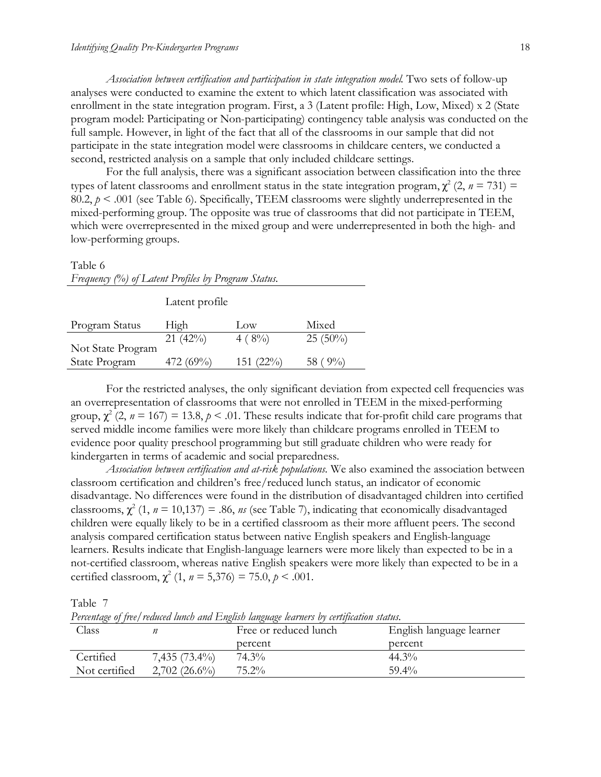*Association between certification and participation in state integration model*. Two sets of follow-up analyses were conducted to examine the extent to which latent classification was associated with enrollment in the state integration program. First, a 3 (Latent profile: High, Low, Mixed) x 2 (State program model: Participating or Non-participating) contingency table analysis was conducted on the full sample. However, in light of the fact that all of the classrooms in our sample that did not participate in the state integration model were classrooms in childcare centers, we conducted a second, restricted analysis on a sample that only included childcare settings.

For the full analysis, there was a significant association between classification into the three types of latent classrooms and enrollment status in the state integration program,  $\chi^2$  (2,  $n = 731$ ) = 80.2,  $p < 0.001$  (see Table 6). Specifically, TEEM classrooms were slightly underrepresented in the mixed-performing group. The opposite was true of classrooms that did not participate in TEEM, which were overrepresented in the mixed group and were underrepresented in both the high- and low-performing groups.

#### Table 6

| Frequency (%) of Latent Profiles by Program Status. |  |  |  |
|-----------------------------------------------------|--|--|--|
|                                                     |  |  |  |

Latent profile

| High      | $_{\text{low}}$ | Mixed        |
|-----------|-----------------|--------------|
| 21(42%)   | $4(8\%)$        | $25(50\%)$   |
|           |                 |              |
| 472 (69%) | $151 (22\%)$    | 58 ( $9\%$ ) |
|           |                 |              |

For the restricted analyses, the only significant deviation from expected cell frequencies was an overrepresentation of classrooms that were not enrolled in TEEM in the mixed-performing group,  $\chi^2$  (2,  $n = 167$ ) = 13.8,  $p < .01$ . These results indicate that for-profit child care programs that served middle income families were more likely than childcare programs enrolled in TEEM to evidence poor quality preschool programming but still graduate children who were ready for kindergarten in terms of academic and social preparedness.

*Association between certification and at-risk populations.* We also examined the association between classroom certification and children's free/reduced lunch status, an indicator of economic disadvantage. No differences were found in the distribution of disadvantaged children into certified classrooms,  $\chi^2$  (1,  $n = 10,137$ ) = .86, *ns* (see Table 7), indicating that economically disadvantaged children were equally likely to be in a certified classroom as their more affluent peers. The second analysis compared certification status between native English speakers and English-language learners. Results indicate that English-language learners were more likely than expected to be in a not-certified classroom, whereas native English speakers were more likely than expected to be in a certified classroom,  $\chi^2$  (1,  $n = 5,376$ ) = 75.0,  $p < .001$ .

Table 7

*Percentage of free/reduced lunch and English language learners by certification status.*

| Class         |                 | Free or reduced lunch | English language learner |
|---------------|-----------------|-----------------------|--------------------------|
|               |                 | percent               | percent                  |
| Certified     | $7,435(73.4\%)$ | 74.3%                 | $44.3\%$                 |
| Not certified | $2,702(26.6\%)$ | $75.2\%$              | $59.4\%$                 |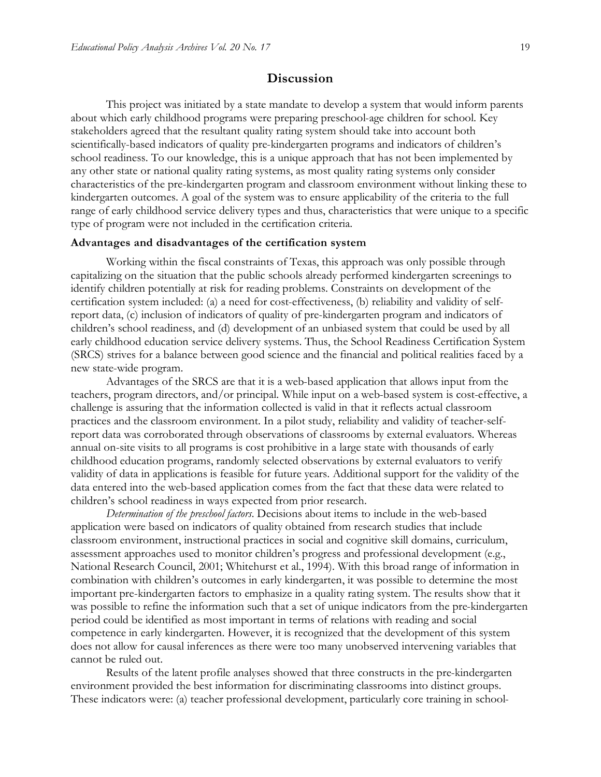### **Discussion**

This project was initiated by a state mandate to develop a system that would inform parents about which early childhood programs were preparing preschool-age children for school. Key stakeholders agreed that the resultant quality rating system should take into account both scientifically-based indicators of quality pre-kindergarten programs and indicators of children's school readiness. To our knowledge, this is a unique approach that has not been implemented by any other state or national quality rating systems, as most quality rating systems only consider characteristics of the pre-kindergarten program and classroom environment without linking these to kindergarten outcomes. A goal of the system was to ensure applicability of the criteria to the full range of early childhood service delivery types and thus, characteristics that were unique to a specific type of program were not included in the certification criteria.

#### **Advantages and disadvantages of the certification system**

Working within the fiscal constraints of Texas, this approach was only possible through capitalizing on the situation that the public schools already performed kindergarten screenings to identify children potentially at risk for reading problems. Constraints on development of the certification system included: (a) a need for cost-effectiveness, (b) reliability and validity of selfreport data, (c) inclusion of indicators of quality of pre-kindergarten program and indicators of children's school readiness, and (d) development of an unbiased system that could be used by all early childhood education service delivery systems. Thus, the School Readiness Certification System (SRCS) strives for a balance between good science and the financial and political realities faced by a new state-wide program.

Advantages of the SRCS are that it is a web-based application that allows input from the teachers, program directors, and/or principal. While input on a web-based system is cost-effective, a challenge is assuring that the information collected is valid in that it reflects actual classroom practices and the classroom environment. In a pilot study, reliability and validity of teacher-selfreport data was corroborated through observations of classrooms by external evaluators. Whereas annual on-site visits to all programs is cost prohibitive in a large state with thousands of early childhood education programs, randomly selected observations by external evaluators to verify validity of data in applications is feasible for future years. Additional support for the validity of the data entered into the web-based application comes from the fact that these data were related to children's school readiness in ways expected from prior research.

*Determination of the preschool factors.* Decisions about items to include in the web-based application were based on indicators of quality obtained from research studies that include classroom environment, instructional practices in social and cognitive skill domains, curriculum, assessment approaches used to monitor children's progress and professional development (e.g., National Research Council, 2001; Whitehurst et al., 1994). With this broad range of information in combination with children's outcomes in early kindergarten, it was possible to determine the most important pre-kindergarten factors to emphasize in a quality rating system. The results show that it was possible to refine the information such that a set of unique indicators from the pre-kindergarten period could be identified as most important in terms of relations with reading and social competence in early kindergarten. However, it is recognized that the development of this system does not allow for causal inferences as there were too many unobserved intervening variables that cannot be ruled out.

Results of the latent profile analyses showed that three constructs in the pre-kindergarten environment provided the best information for discriminating classrooms into distinct groups. These indicators were: (a) teacher professional development, particularly core training in school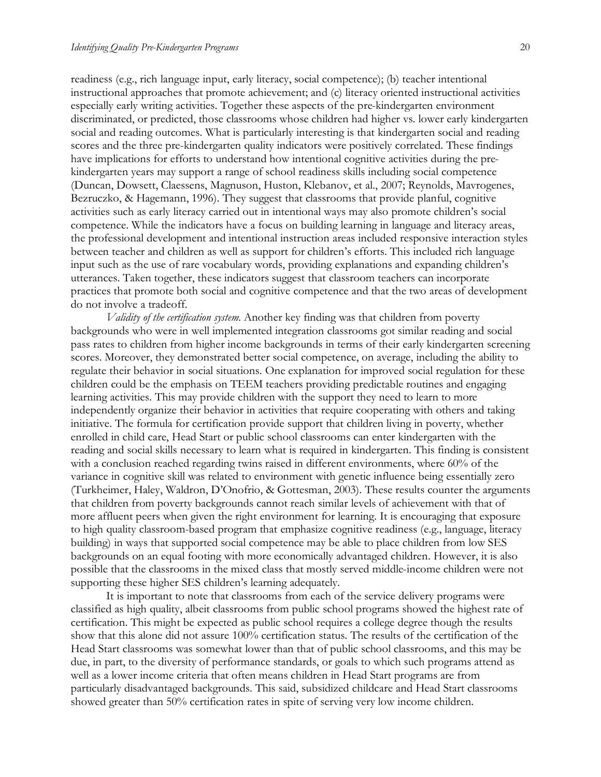readiness (e.g., rich language input, early literacy, social competence); (b) teacher intentional instructional approaches that promote achievement; and (c) literacy oriented instructional activities especially early writing activities. Together these aspects of the pre-kindergarten environment discriminated, or predicted, those classrooms whose children had higher vs. lower early kindergarten social and reading outcomes. What is particularly interesting is that kindergarten social and reading scores and the three pre-kindergarten quality indicators were positively correlated. These findings have implications for efforts to understand how intentional cognitive activities during the prekindergarten years may support a range of school readiness skills including social competence (Duncan, Dowsett, Claessens, Magnuson, Huston, Klebanov, et al., 2007; Reynolds, Mavrogenes, Bezruczko, & Hagemann, 1996). They suggest that classrooms that provide planful, cognitive activities such as early literacy carried out in intentional ways may also promote children's social competence. While the indicators have a focus on building learning in language and literacy areas, the professional development and intentional instruction areas included responsive interaction styles between teacher and children as well as support for children's efforts. This included rich language input such as the use of rare vocabulary words, providing explanations and expanding children's utterances. Taken together, these indicators suggest that classroom teachers can incorporate practices that promote both social and cognitive competence and that the two areas of development do not involve a tradeoff.

*Validity of the certification system.* Another key finding was that children from poverty backgrounds who were in well implemented integration classrooms got similar reading and social pass rates to children from higher income backgrounds in terms of their early kindergarten screening scores. Moreover, they demonstrated better social competence, on average, including the ability to regulate their behavior in social situations. One explanation for improved social regulation for these children could be the emphasis on TEEM teachers providing predictable routines and engaging learning activities. This may provide children with the support they need to learn to more independently organize their behavior in activities that require cooperating with others and taking initiative. The formula for certification provide support that children living in poverty, whether enrolled in child care, Head Start or public school classrooms can enter kindergarten with the reading and social skills necessary to learn what is required in kindergarten. This finding is consistent with a conclusion reached regarding twins raised in different environments, where 60% of the variance in cognitive skill was related to environment with genetic influence being essentially zero (Turkheimer, Haley, Waldron, D'Onofrio, & Gottesman, 2003). These results counter the arguments that children from poverty backgrounds cannot reach similar levels of achievement with that of more affluent peers when given the right environment for learning. It is encouraging that exposure to high quality classroom-based program that emphasize cognitive readiness (e.g., language, literacy building) in ways that supported social competence may be able to place children from low SES backgrounds on an equal footing with more economically advantaged children. However, it is also possible that the classrooms in the mixed class that mostly served middle-income children were not supporting these higher SES children's learning adequately.

It is important to note that classrooms from each of the service delivery programs were classified as high quality, albeit classrooms from public school programs showed the highest rate of certification. This might be expected as public school requires a college degree though the results show that this alone did not assure 100% certification status. The results of the certification of the Head Start classrooms was somewhat lower than that of public school classrooms, and this may be due, in part, to the diversity of performance standards, or goals to which such programs attend as well as a lower income criteria that often means children in Head Start programs are from particularly disadvantaged backgrounds. This said, subsidized childcare and Head Start classrooms showed greater than 50% certification rates in spite of serving very low income children.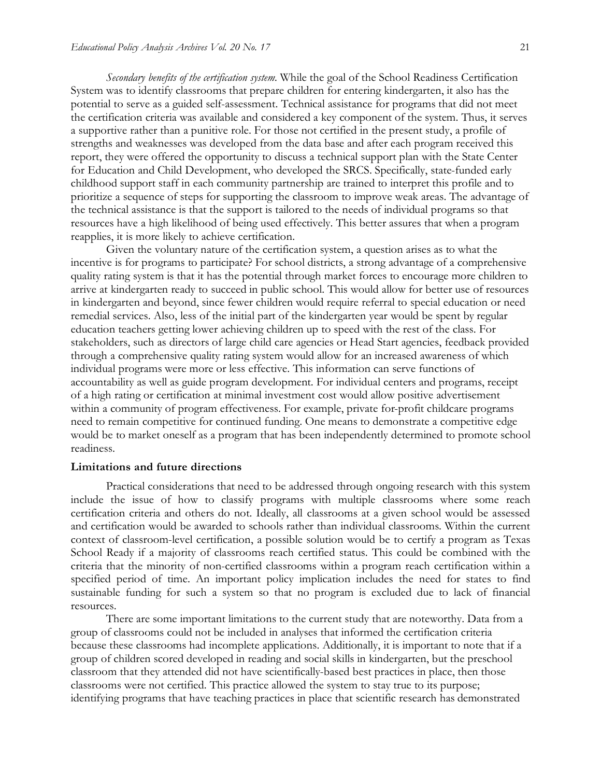*Secondary benefits of the certification system.* While the goal of the School Readiness Certification System was to identify classrooms that prepare children for entering kindergarten, it also has the potential to serve as a guided self-assessment. Technical assistance for programs that did not meet the certification criteria was available and considered a key component of the system. Thus, it serves a supportive rather than a punitive role. For those not certified in the present study, a profile of strengths and weaknesses was developed from the data base and after each program received this report, they were offered the opportunity to discuss a technical support plan with the State Center for Education and Child Development, who developed the SRCS. Specifically, state-funded early childhood support staff in each community partnership are trained to interpret this profile and to prioritize a sequence of steps for supporting the classroom to improve weak areas. The advantage of the technical assistance is that the support is tailored to the needs of individual programs so that resources have a high likelihood of being used effectively. This better assures that when a program reapplies, it is more likely to achieve certification.

Given the voluntary nature of the certification system, a question arises as to what the incentive is for programs to participate? For school districts, a strong advantage of a comprehensive quality rating system is that it has the potential through market forces to encourage more children to arrive at kindergarten ready to succeed in public school. This would allow for better use of resources in kindergarten and beyond, since fewer children would require referral to special education or need remedial services. Also, less of the initial part of the kindergarten year would be spent by regular education teachers getting lower achieving children up to speed with the rest of the class. For stakeholders, such as directors of large child care agencies or Head Start agencies, feedback provided through a comprehensive quality rating system would allow for an increased awareness of which individual programs were more or less effective. This information can serve functions of accountability as well as guide program development. For individual centers and programs, receipt of a high rating or certification at minimal investment cost would allow positive advertisement within a community of program effectiveness. For example, private for-profit childcare programs need to remain competitive for continued funding. One means to demonstrate a competitive edge would be to market oneself as a program that has been independently determined to promote school readiness.

#### **Limitations and future directions**

Practical considerations that need to be addressed through ongoing research with this system include the issue of how to classify programs with multiple classrooms where some reach certification criteria and others do not. Ideally, all classrooms at a given school would be assessed and certification would be awarded to schools rather than individual classrooms. Within the current context of classroom-level certification, a possible solution would be to certify a program as Texas School Ready if a majority of classrooms reach certified status. This could be combined with the criteria that the minority of non-certified classrooms within a program reach certification within a specified period of time. An important policy implication includes the need for states to find sustainable funding for such a system so that no program is excluded due to lack of financial resources.

There are some important limitations to the current study that are noteworthy. Data from a group of classrooms could not be included in analyses that informed the certification criteria because these classrooms had incomplete applications. Additionally, it is important to note that if a group of children scored developed in reading and social skills in kindergarten, but the preschool classroom that they attended did not have scientifically-based best practices in place, then those classrooms were not certified. This practice allowed the system to stay true to its purpose; identifying programs that have teaching practices in place that scientific research has demonstrated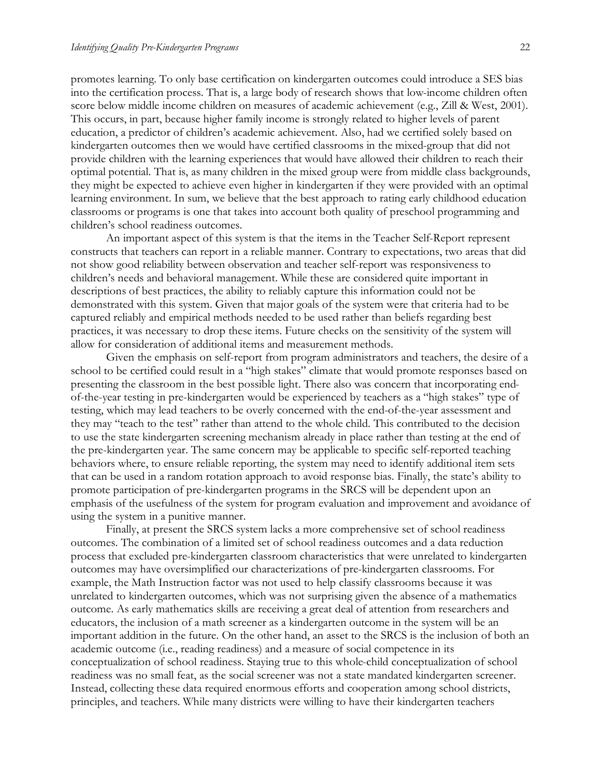promotes learning. To only base certification on kindergarten outcomes could introduce a SES bias into the certification process. That is, a large body of research shows that low-income children often score below middle income children on measures of academic achievement (e.g., Zill & West, 2001). This occurs, in part, because higher family income is strongly related to higher levels of parent education, a predictor of children's academic achievement. Also, had we certified solely based on kindergarten outcomes then we would have certified classrooms in the mixed-group that did not provide children with the learning experiences that would have allowed their children to reach their optimal potential. That is, as many children in the mixed group were from middle class backgrounds, they might be expected to achieve even higher in kindergarten if they were provided with an optimal learning environment. In sum, we believe that the best approach to rating early childhood education classrooms or programs is one that takes into account both quality of preschool programming and children's school readiness outcomes.

An important aspect of this system is that the items in the Teacher Self-Report represent constructs that teachers can report in a reliable manner. Contrary to expectations, two areas that did not show good reliability between observation and teacher self-report was responsiveness to children's needs and behavioral management. While these are considered quite important in descriptions of best practices, the ability to reliably capture this information could not be demonstrated with this system. Given that major goals of the system were that criteria had to be captured reliably and empirical methods needed to be used rather than beliefs regarding best practices, it was necessary to drop these items. Future checks on the sensitivity of the system will allow for consideration of additional items and measurement methods.

Given the emphasis on self-report from program administrators and teachers, the desire of a school to be certified could result in a "high stakes" climate that would promote responses based on presenting the classroom in the best possible light. There also was concern that incorporating endof-the-year testing in pre-kindergarten would be experienced by teachers as a "high stakes" type of testing, which may lead teachers to be overly concerned with the end-of-the-year assessment and they may "teach to the test" rather than attend to the whole child. This contributed to the decision to use the state kindergarten screening mechanism already in place rather than testing at the end of the pre-kindergarten year. The same concern may be applicable to specific self-reported teaching behaviors where, to ensure reliable reporting, the system may need to identify additional item sets that can be used in a random rotation approach to avoid response bias. Finally, the state's ability to promote participation of pre-kindergarten programs in the SRCS will be dependent upon an emphasis of the usefulness of the system for program evaluation and improvement and avoidance of using the system in a punitive manner.

Finally, at present the SRCS system lacks a more comprehensive set of school readiness outcomes. The combination of a limited set of school readiness outcomes and a data reduction process that excluded pre-kindergarten classroom characteristics that were unrelated to kindergarten outcomes may have oversimplified our characterizations of pre-kindergarten classrooms. For example, the Math Instruction factor was not used to help classify classrooms because it was unrelated to kindergarten outcomes, which was not surprising given the absence of a mathematics outcome. As early mathematics skills are receiving a great deal of attention from researchers and educators, the inclusion of a math screener as a kindergarten outcome in the system will be an important addition in the future. On the other hand, an asset to the SRCS is the inclusion of both an academic outcome (i.e., reading readiness) and a measure of social competence in its conceptualization of school readiness. Staying true to this whole-child conceptualization of school readiness was no small feat, as the social screener was not a state mandated kindergarten screener. Instead, collecting these data required enormous efforts and cooperation among school districts, principles, and teachers. While many districts were willing to have their kindergarten teachers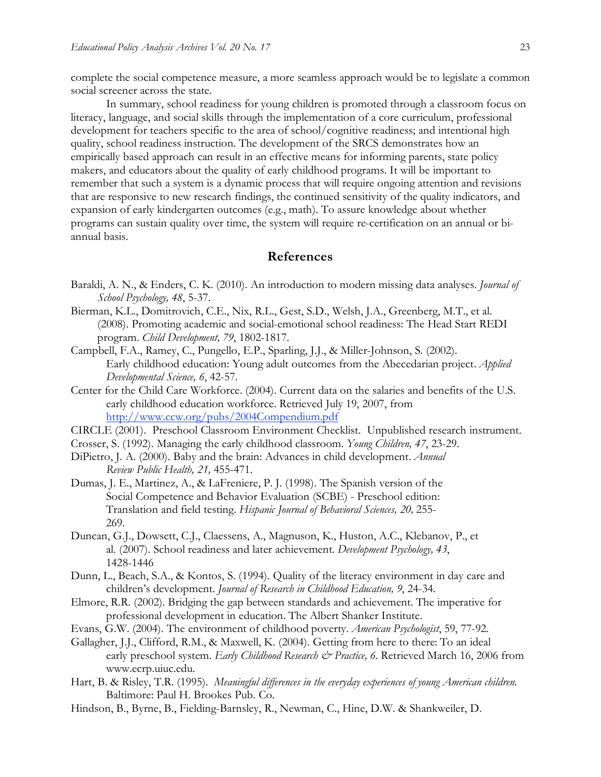complete the social competence measure, a more seamless approach would be to legislate a common social screener across the state.

In summary, school readiness for young children is promoted through a classroom focus on literacy, language, and social skills through the implementation of a core curriculum, professional development for teachers specific to the area of school/cognitive readiness; and intentional high quality, school readiness instruction. The development of the SRCS demonstrates how an empirically based approach can result in an effective means for informing parents, state policy makers, and educators about the quality of early childhood programs. It will be important to remember that such a system is a dynamic process that will require ongoing attention and revisions that are responsive to new research findings, the continued sensitivity of the quality indicators, and expansion of early kindergarten outcomes (e.g., math). To assure knowledge about whether programs can sustain quality over time, the system will require re-certification on an annual or biannual basis.

# **References**

- Baraldi, A. N., & Enders, C. K. (2010). An introduction to modern missing data analyses. *Journal of School Psychology, 48*, 5-37.
- Bierman, K.L., Domitrovich, C.E., Nix, R.L., Gest, S.D., Welsh, J.A., Greenberg, M.T., et al. (2008). Promoting academic and social-emotional school readiness: The Head Start REDI program. *Child Development, 79*, 1802-1817.
- Campbell, F.A., Ramey, C., Pungello, E.P., Sparling, J.J., & Miller-Johnson, S. (2002). Early childhood education: Young adult outcomes from the Abecedarian project. *Applied Developmental Science, 6*, 42-57.
- Center for the Child Care Workforce. (2004). Current data on the salaries and benefits of the U.S. early childhood education workforce. Retrieved July 19, 2007, from http://www.ccw.org/pubs/2004Compendium.pdf
- CIRCLE (2001). Preschool Classroom Environment Checklist. Unpublished research instrument.
- Crosser, S. (1992). Managing the early childhood classroom. *Young Children, 47*, 23-29.
- DiPietro, J. A. (2000). Baby and the brain: Advances in child development. *Annual Review Public Health, 21,* 455-471.
- Dumas, J. E., Martinez, A., & LaFreniere, P. J. (1998). The Spanish version of the Social Competence and Behavior Evaluation (SCBE) - Preschool edition: Translation and field testing. *Hispanic Journal of Behavioral Sciences, 20,* 255- 269.
- Duncan, G.J., Dowsett, C.J., Claessens, A., Magnuson, K., Huston, A.C., Klebanov, P., et al. (2007). School readiness and later achievement. *Development Psychology, 43*, 1428-1446
- Dunn, L., Beach, S.A., & Kontos, S. (1994). Quality of the literacy environment in day care and children's development. *Journal of Research in Childhood Education, 9*, 24-34.
- Elmore, R.R. (2002). Bridging the gap between standards and achievement. The imperative for professional development in education. The Albert Shanker Institute.
- Evans, G.W. (2004). The environment of childhood poverty. *American Psychologist*, 59, 77-92.
- Gallagher, J.J., Clifford, R.M., & Maxwell, K. (2004). Getting from here to there: To an ideal early preschool system. *Early Childhood Research & Practice, 6*. Retrieved March 16, 2006 from www.ecrp.uiuc.edu.
- Hart, B. & Risley, T.R. (1995). *Meaningful differences in the everyday experiences of young American children*. Baltimore: Paul H. Brookes Pub. Co.
- Hindson, B., Byrne, B., Fielding-Barnsley, R., Newman, C., Hine, D.W. & Shankweiler, D.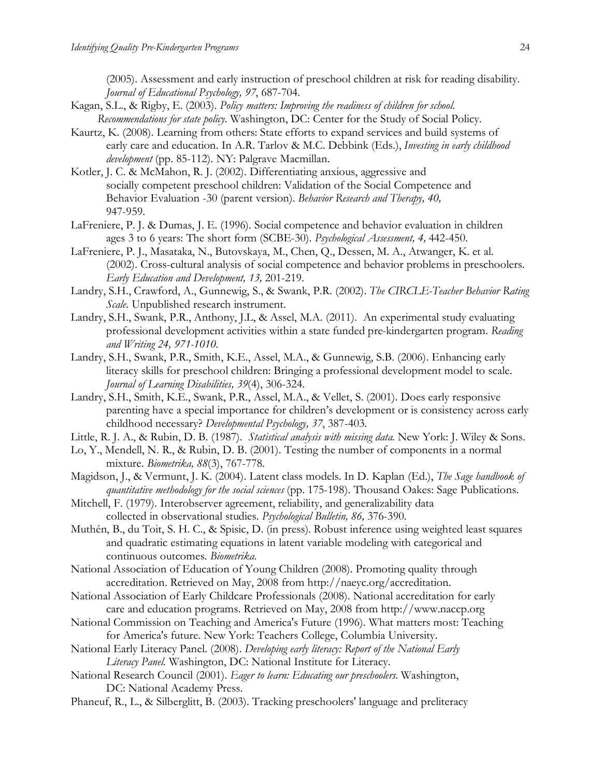(2005). Assessment and early instruction of preschool children at risk for reading disability. *Journal of Educational Psychology, 97*, 687-704.

- Kagan, S.L., & Rigby, E. (2003). *Policy matters: Improving the readiness of children for school. Recommendations for state policy.* Washington, DC: Center for the Study of Social Policy.
- Kaurtz, K. (2008). Learning from others: State efforts to expand services and build systems of early care and education. In A.R. Tarlov & M.C. Debbink (Eds.), *Investing in early childhood development* (pp. 85-112). NY: Palgrave Macmillan.
- Kotler, J. C. & McMahon, R. J. (2002). Differentiating anxious, aggressive and socially competent preschool children: Validation of the Social Competence and Behavior Evaluation -30 (parent version). *Behavior Research and Therapy, 40,* 947-959.
- LaFreniere, P. J. & Dumas, J. E. (1996). Social competence and behavior evaluation in children ages 3 to 6 years: The short form (SCBE-30). *Psychological Assessment, 4,* 442-450.
- LaFreniere, P. J., Masataka, N., Butovskaya, M., Chen, Q., Dessen, M. A., Atwanger, K. et al. (2002). Cross-cultural analysis of social competence and behavior problems in preschoolers. *Early Education and Development, 13,* 201-219.
- Landry, S.H., Crawford, A., Gunnewig, S., & Swank, P.R. (2002). *The CIRCLE-Teacher Behavior Rating Scale*. Unpublished research instrument.
- Landry, S.H., Swank, P.R., Anthony, J.L, & Assel, M.A. (2011). An experimental study evaluating professional development activities within a state funded pre-kindergarten program. *Reading and Writing 24, 971-1010.*
- Landry, S.H., Swank, P.R., Smith, K.E., Assel, M.A., & Gunnewig, S.B. (2006). Enhancing early literacy skills for preschool children: Bringing a professional development model to scale. *Journal of Learning Disabilities, 39*(4), 306-324.
- Landry, S.H., Smith, K.E., Swank, P.R., Assel, M.A., & Vellet, S. (2001). Does early responsive parenting have a special importance for children's development or is consistency across early childhood necessary? *Developmental Psychology, 37*, 387-403.
- Little, R. J. A., & Rubin, D. B. (1987). *Statistical analysis with missing data.* New York: J. Wiley & Sons.
- Lo, Y., Mendell, N. R., & Rubin, D. B. (2001). Testing the number of components in a normal mixture. *Biometrika, 88*(3), 767-778.
- Magidson, J., & Vermunt, J. K. (2004). Latent class models. In D. Kaplan (Ed.), *The Sage handbook of quantitative methodology for the social sciences* (pp. 175-198). Thousand Oakes: Sage Publications.
- Mitchell, F. (1979). Interobserver agreement, reliability, and generalizability data collected in observational studies. *Psychological Bulletin, 86,* 376-390.
- Muthén, B., du Toit, S. H. C., & Spisic, D. (in press). Robust inference using weighted least squares and quadratic estimating equations in latent variable modeling with categorical and continuous outcomes. *Biometrika*.
- National Association of Education of Young Children (2008). Promoting quality through accreditation. Retrieved on May, 2008 from http://naeyc.org/accreditation.
- National Association of Early Childcare Professionals (2008). National accreditation for early care and education programs. Retrieved on May, 2008 from http://www.naccp.org
- National Commission on Teaching and America's Future (1996). What matters most: Teaching for America's future. New York: Teachers College, Columbia University.
- National Early Literacy Panel. (2008). *Developing early literacy: Report of the National Early Literacy Panel.* Washington, DC: National Institute for Literacy.
- National Research Council (2001). *Eager to learn: Educating our preschoolers*. Washington, DC: National Academy Press.
- Phaneuf, R., L., & Silberglitt, B. (2003). Tracking preschoolers' language and preliteracy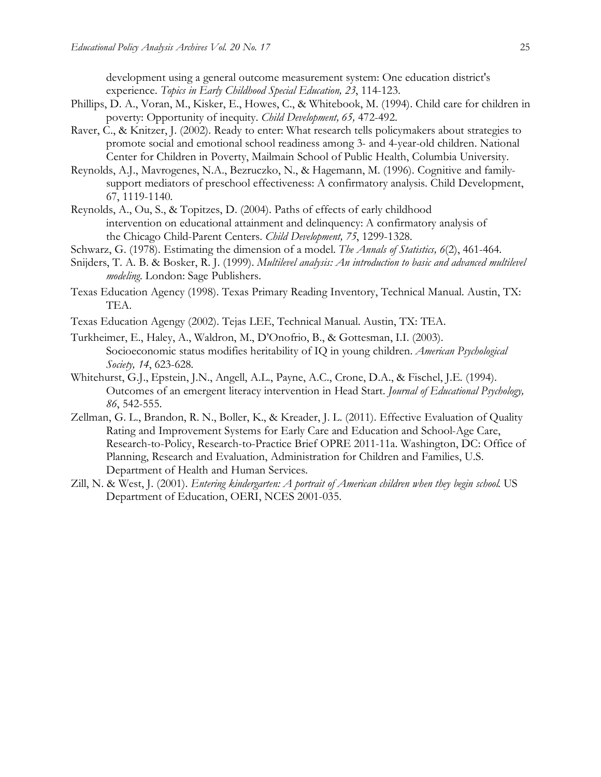development using a general outcome measurement system: One education district's experience. *Topics in Early Childhood Special Education, 23*, 114-123.

- Phillips, D. A., Voran, M., Kisker, E., Howes, C., & Whitebook, M. (1994). Child care for children in poverty: Opportunity of inequity. *Child Development, 65,* 472-492.
- Raver, C., & Knitzer, J. (2002). Ready to enter: What research tells policymakers about strategies to promote social and emotional school readiness among 3- and 4-year-old children. National Center for Children in Poverty, Mailmain School of Public Health, Columbia University.
- Reynolds, A.J., Mavrogenes, N.A., Bezruczko, N., & Hagemann, M. (1996). Cognitive and familysupport mediators of preschool effectiveness: A confirmatory analysis. Child Development, 67, 1119-1140.
- Reynolds, A., Ou, S., & Topitzes, D. (2004). Paths of effects of early childhood intervention on educational attainment and delinquency: A confirmatory analysis of the Chicago Child-Parent Centers. *Child Development, 75*, 1299-1328.
- Schwarz, G. (1978). Estimating the dimension of a model. *The Annals of Statistics, 6*(2), 461-464.
- Snijders, T. A. B. & Bosker, R. J. (1999). *Multilevel analysis: An introduction to basic and advanced multilevel modeling*. London: Sage Publishers.
- Texas Education Agency (1998). Texas Primary Reading Inventory, Technical Manual. Austin, TX: TEA.
- Texas Education Agengy (2002). Tejas LEE, Technical Manual. Austin, TX: TEA.
- Turkheimer, E., Haley, A., Waldron, M., D'Onofrio, B., & Gottesman, I.I. (2003). Socioeconomic status modifies heritability of IQ in young children. *American Psychological Society, 14*, 623-628.
- Whitehurst, G.J., Epstein, J.N., Angell, A.L., Payne, A.C., Crone, D.A., & Fischel, J.E. (1994). Outcomes of an emergent literacy intervention in Head Start. *Journal of Educational Psychology, 86*, 542-555.
- Zellman, G. L., Brandon, R. N., Boller, K., & Kreader, J. L. (2011). Effective Evaluation of Quality Rating and Improvement Systems for Early Care and Education and School-Age Care, Research-to-Policy, Research-to-Practice Brief OPRE 2011-11a. Washington, DC: Office of Planning, Research and Evaluation, Administration for Children and Families, U.S. Department of Health and Human Services.
- Zill, N. & West, J. (2001). *Entering kindergarten: A portrait of American children when they begin school*. US Department of Education, OERI, NCES 2001-035.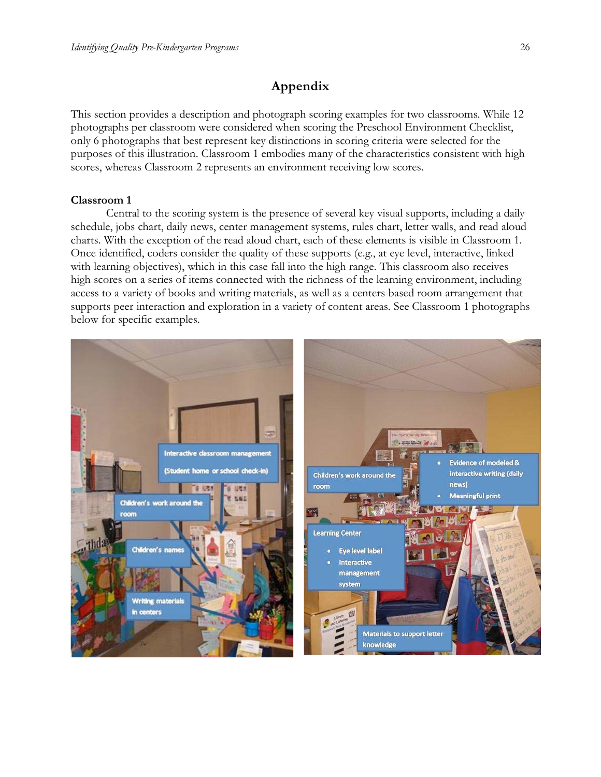# **Appendix**

This section provides a description and photograph scoring examples for two classrooms. While 12 photographs per classroom were considered when scoring the Preschool Environment Checklist, only 6 photographs that best represent key distinctions in scoring criteria were selected for the purposes of this illustration. Classroom 1 embodies many of the characteristics consistent with high scores, whereas Classroom 2 represents an environment receiving low scores.

#### **Classroom 1**

Central to the scoring system is the presence of several key visual supports, including a daily schedule, jobs chart, daily news, center management systems, rules chart, letter walls, and read aloud charts. With the exception of the read aloud chart, each of these elements is visible in Classroom 1. Once identified, coders consider the quality of these supports (e.g., at eye level, interactive, linked with learning objectives), which in this case fall into the high range. This classroom also receives high scores on a series of items connected with the richness of the learning environment, including access to a variety of books and writing materials, as well as a centers-based room arrangement that supports peer interaction and exploration in a variety of content areas. See Classroom 1 photographs below for specific examples.

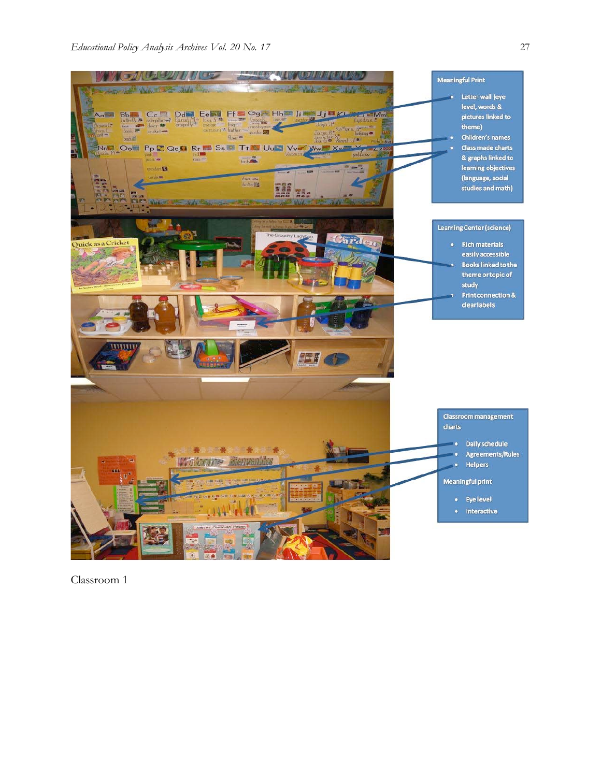

Classroom 1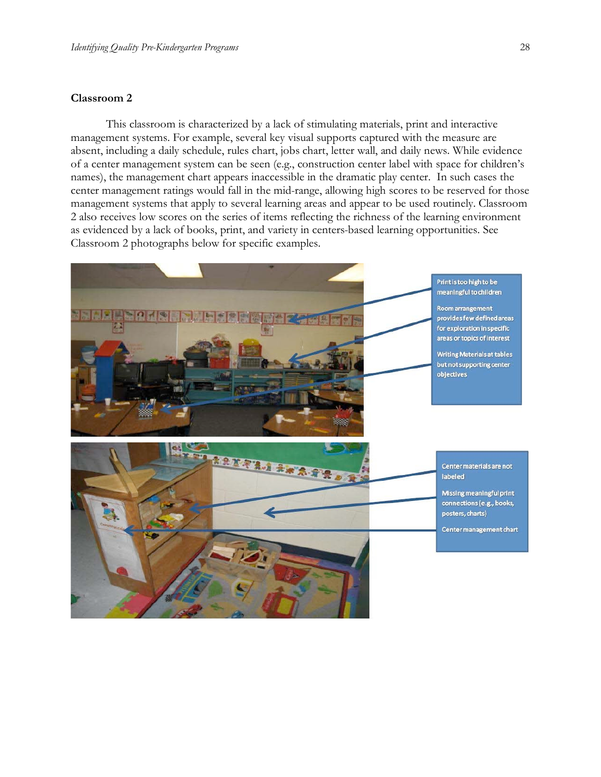#### **Classroom 2**

This classroom is characterized by a lack of stimulating materials, print and interactive management systems. For example, several key visual supports captured with the measure are absent, including a daily schedule, rules chart, jobs chart, letter wall, and daily news. While evidence of a center management system can be seen (e.g., construction center label with space for children's names), the management chart appears inaccessible in the dramatic play center. In such cases the center management ratings would fall in the mid-range, allowing high scores to be reserved for those management systems that apply to several learning areas and appear to be used routinely. Classroom 2 also receives low scores on the series of items reflecting the richness of the learning environment as evidenced by a lack of books, print, and variety in centers-based learning opportunities. See Classroom 2 photographs below for specific examples.

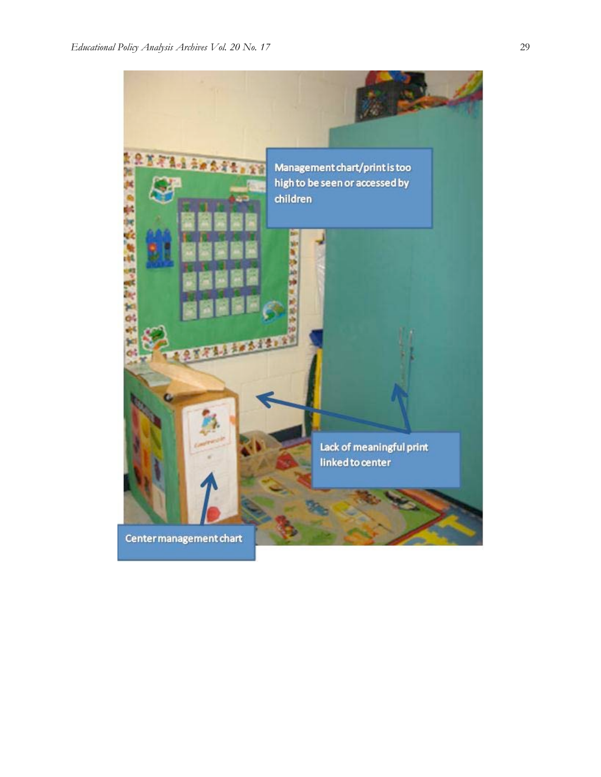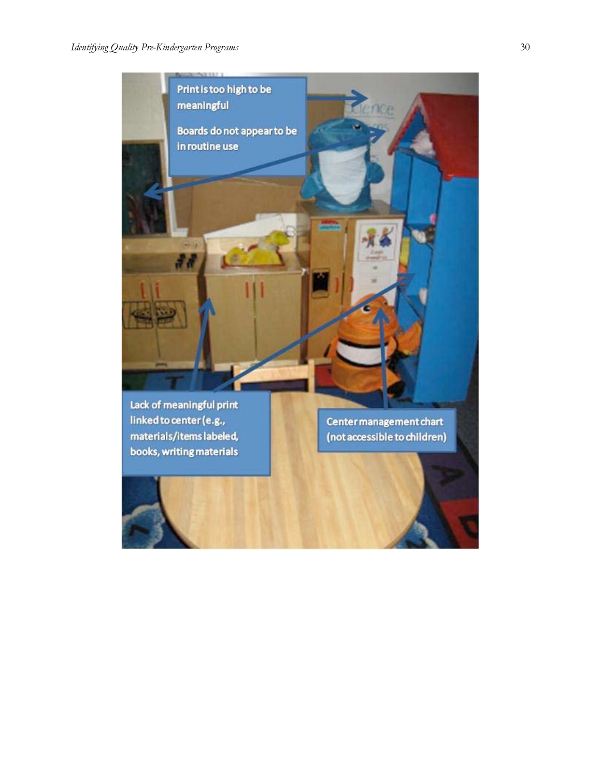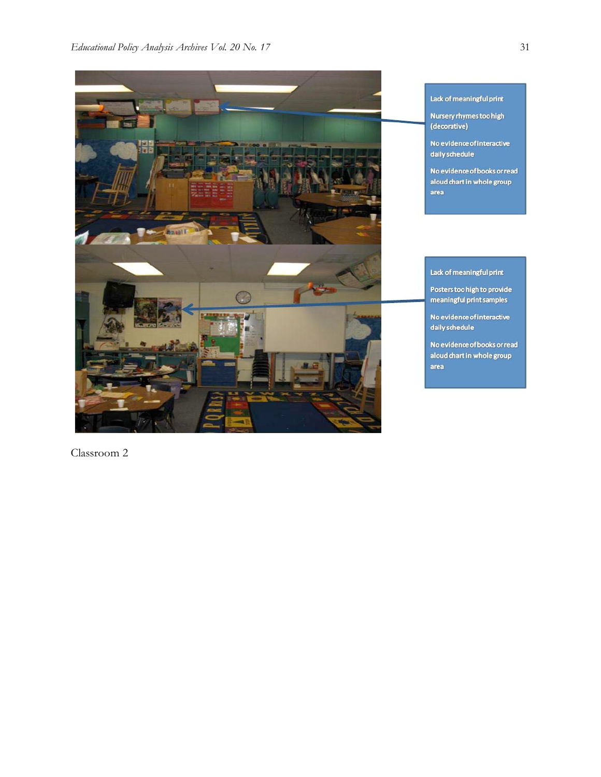

Lack of meaningful print

Nursery rhymes too high (decorative)

No evidence of interactive daily schedule

No evidence of books or read aloud chart in whole group area

# Lack of meaningful print

Posters too high to provide meaningful print samples

No evidence of interactive daily schedule

No evidence of books or read aloud chart in whole group area

Classroom 2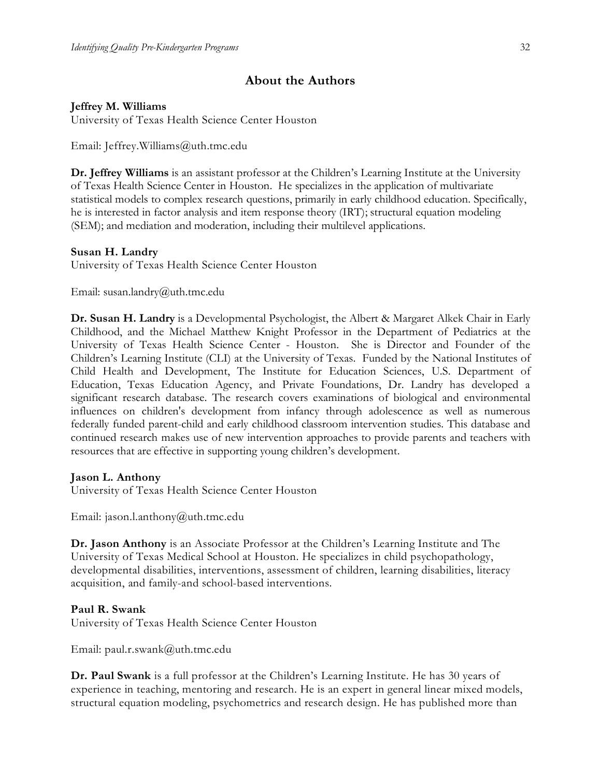# **About the Authors**

# **Jeffrey M. Williams**

University of Texas Health Science Center Houston

Email: Jeffrey.Williams@uth.tmc.edu

**Dr. Jeffrey Williams** is an assistant professor at the Children's Learning Institute at the University of Texas Health Science Center in Houston. He specializes in the application of multivariate statistical models to complex research questions, primarily in early childhood education. Specifically, he is interested in factor analysis and item response theory (IRT); structural equation modeling (SEM); and mediation and moderation, including their multilevel applications.

## **Susan H. Landry**

University of Texas Health Science Center Houston

Email: susan.landry@uth.tmc.edu

**Dr. Susan H. Landry** is a Developmental Psychologist, the Albert & Margaret Alkek Chair in Early Childhood, and the Michael Matthew Knight Professor in the Department of Pediatrics at the University of Texas Health Science Center - Houston. She is Director and Founder of the Children's Learning Institute (CLI) at the University of Texas. Funded by the National Institutes of Child Health and Development, The Institute for Education Sciences, U.S. Department of Education, Texas Education Agency, and Private Foundations, Dr. Landry has developed a significant research database. The research covers examinations of biological and environmental influences on children's development from infancy through adolescence as well as numerous federally funded parent-child and early childhood classroom intervention studies. This database and continued research makes use of new intervention approaches to provide parents and teachers with resources that are effective in supporting young children's development.

# **Jason L. Anthony**

University of Texas Health Science Center Houston

Email: jason.l.anthony@uth.tmc.edu

**Dr. Jason Anthony** is an Associate Professor at the Children's Learning Institute and The University of Texas Medical School at Houston. He specializes in child psychopathology, developmental disabilities, interventions, assessment of children, learning disabilities, literacy acquisition, and family-and school-based interventions.

# **Paul R. Swank**

University of Texas Health Science Center Houston

Email: paul.r.swank@uth.tmc.edu

**Dr. Paul Swank** is a full professor at the Children's Learning Institute. He has 30 years of experience in teaching, mentoring and research. He is an expert in general linear mixed models, structural equation modeling, psychometrics and research design. He has published more than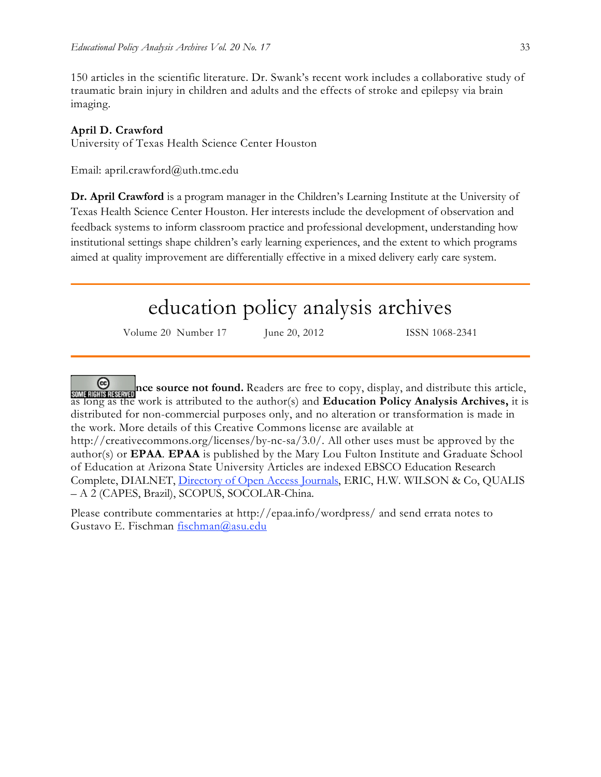150 articles in the scientific literature. Dr. Swank's recent work includes a collaborative study of traumatic brain injury in children and adults and the effects of stroke and epilepsy via brain imaging.

# **April D. Crawford**

University of Texas Health Science Center Houston

Email: april.crawford@uth.tmc.edu

**Dr. April Crawford** is a program manager in the Children's Learning Institute at the University of Texas Health Science Center Houston. Her interests include the development of observation and feedback systems to inform classroom practice and professional development, understanding how institutional settings shape children's early learning experiences, and the extent to which programs aimed at quality improvement are differentially effective in a mixed delivery early care system.

# education policy analysis archives

Volume 20 Number 17 June 20, 2012 ISSN 1068-2341

**EXPRESS ARTICE SOURCE NOTE OF SOURCE 1999.** Readers are free to copy, display, and distribute this article, as long as the work is attributed to the author(s) and **Education Policy Analysis Archives,** it is distributed for non-commercial purposes only, and no alteration or transformation is made in the work. More details of this Creative Commons license are available at

http://creativecommons.org/licenses/by-nc-sa/3.0/. All other uses must be approved by the author(s) or **EPAA**. **EPAA** is published by the Mary Lou Fulton Institute and Graduate School of Education at Arizona State University Articles are indexed EBSCO Education Research Complete, DIALNET, Directory of Open Access Journals, ERIC, H.W. WILSON & Co, QUALIS – A 2 (CAPES, Brazil), SCOPUS, SOCOLAR-China.

Please contribute commentaries at http://epaa.info/wordpress/ and send errata notes to Gustavo E. Fischman fischman@asu.edu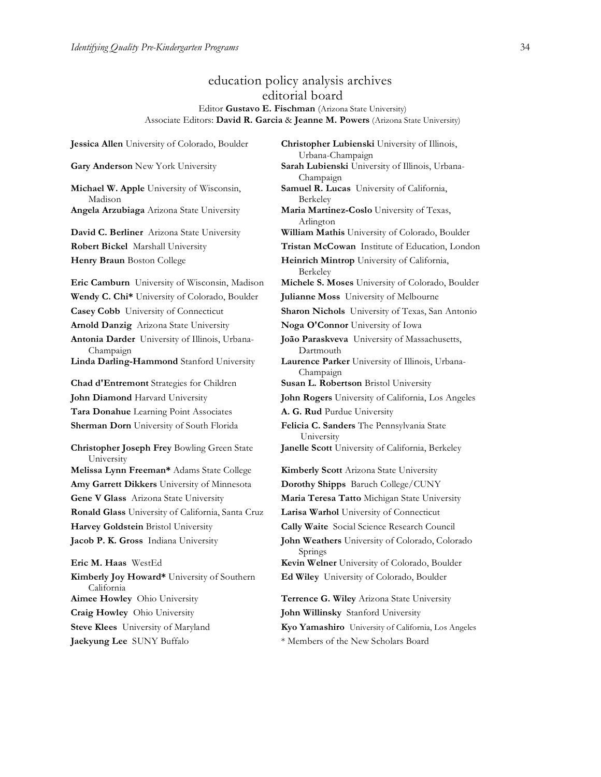### education policy analysis archives editorial board Editor **Gustavo E. Fischman** (Arizona State University) Associate Editors: **David R. Garcia** & **Jeanne M. Powers** (Arizona State University)

**Jessica Allen** University of Colorado, Boulder **Christopher Lubienski** University of Illinois, Urbana-Champaign **Gary Anderson** New York University **Sarah Lubienski** University of Illinois, Urbana-Champaign **Michael W. Apple** University of Wisconsin, Madison **Samuel R. Lucas** University of California, Berkeley **Angela Arzubiaga** Arizona State University **Maria Martinez-Coslo** University of Texas, Arlington **David C. Berliner** Arizona State University **William Mathis** University of Colorado, Boulder **Robert Bickel** Marshall University **Tristan McCowan** Institute of Education, London **Henry Braun** Boston College **Heinrich Mintrop** University of California, Berkeley **Eric Camburn** University of Wisconsin, Madison **Michele S. Moses** University of Colorado, Boulder **Wendy C. Chi\*** University of Colorado, Boulder **Julianne Moss** University of Melbourne **Casey Cobb** University of Connecticut **Sharon Nichols** University of Texas, San Antonio **Arnold Danzig** Arizona State University **Noga O'Connor** University of Iowa **Antonia Darder** University of Illinois, Urbana-Champaign **João Paraskveva** University of Massachusetts, Dartmouth **Linda Darling-Hammond** Stanford University **Laurence Parker** University of Illinois, Urbana-Champaign **Chad d'Entremont** Strategies for Children **Susan L. Robertson** Bristol University **John Diamond** Harvard University **John Rogers** University of California, Los Angeles **Tara Donahue** Learning Point Associates **A. G. Rud** Purdue University **Sherman Dorn** University of South Florida **Felicia C. Sanders** The Pennsylvania State University **Christopher Joseph Frey** Bowling Green State University **Janelle Scott** University of California, Berkeley **Melissa Lynn Freeman\*** Adams State College **Kimberly Scott** Arizona State University **Amy Garrett Dikkers** University of Minnesota **Dorothy Shipps** Baruch College/CUNY **Gene V Glass** Arizona State University **Maria Teresa Tatto** Michigan State University **Ronald Glass** University of California, Santa Cruz **Larisa Warhol** University of Connecticut **Harvey Goldstein** Bristol University **Cally Waite** Social Science Research Council **Jacob P. K. Gross** Indiana University **John Weathers** University of Colorado, Colorado Springs **Eric M. Haas** WestEd **Kevin Welner** University of Colorado, Boulder **Kimberly Joy Howard\*** University of Southern California **Ed Wiley** University of Colorado, Boulder **Aimee Howley** Ohio University **Terrence G. Wiley** Arizona State University **Craig Howley** Ohio University **John Willinsky** Stanford University **Steve Klees** University of Maryland **Kyo Yamashiro** University of California, Los Angeles

**Jaekyung Lee** SUNY Buffalo \* \* Members of the New Scholars Board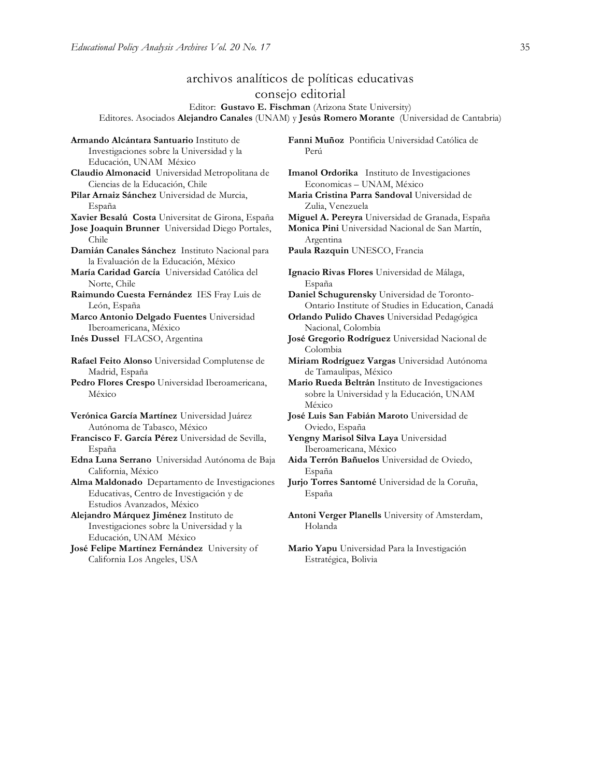# archivos analíticos de políticas educativas

consejo editorial

Editor: **Gustavo E. Fischman** (Arizona State University) Editores. Asociados **Alejandro Canales** (UNAM) y **Jesús Romero Morante** (Universidad de Cantabria)

**Armando Alcántara Santuario** Instituto de Investigaciones sobre la Universidad y la Educación, UNAM México **Claudio Almonacid** Universidad Metropolitana de Ciencias de la Educación, Chile **Pilar Arnaiz Sánchez** Universidad de Murcia, España **Xavier Besalú Costa** Universitat de Girona, España **Miguel A. Pereyra** Universidad de Granada, España **Jose Joaquin Brunner** Universidad Diego Portales, Chile **Damián Canales Sánchez** Instituto Nacional para la Evaluación de la Educación, México **María Caridad García** Universidad Católica del Norte, Chile **Raimundo Cuesta Fernández** IES Fray Luis de León, España **Marco Antonio Delgado Fuentes** Universidad Iberoamericana, México **Inés Dussel** FLACSO, Argentina **José Gregorio Rodríguez** Universidad Nacional de **Rafael Feito Alonso** Universidad Complutense de Madrid, España **Pedro Flores Crespo** Universidad Iberoamericana, México **Verónica García Martínez** Universidad Juárez Autónoma de Tabasco, México **Francisco F. García Pérez** Universidad de Sevilla, España **Edna Luna Serrano** Universidad Autónoma de Baja California, México **Alma Maldonado** Departamento de Investigaciones Educativas, Centro de Investigación y de Estudios Avanzados, México **Alejandro Márquez Jiménez** Instituto de Investigaciones sobre la Universidad y la Educación, UNAM México **José Felipe Martínez Fernández** University of California Los Angeles, USA

**Fanni Muñoz** Pontificia Universidad Católica de Perú

**Imanol Ordorika** Instituto de Investigaciones Economicas – UNAM, México

**Maria Cristina Parra Sandoval** Universidad de Zulia, Venezuela

**Monica Pini** Universidad Nacional de San Martín, Argentina

**Paula Razquin** UNESCO, Francia

**Ignacio Rivas Flores** Universidad de Málaga, España

**Daniel Schugurensky** Universidad de Toronto-Ontario Institute of Studies in Education, Canadá

**Orlando Pulido Chaves** Universidad Pedagógica Nacional, Colombia

Colombia

**Miriam Rodríguez Vargas** Universidad Autónoma de Tamaulipas, México

**Mario Rueda Beltrán** Instituto de Investigaciones sobre la Universidad y la Educación, UNAM México

**José Luis San Fabián Maroto** Universidad de Oviedo, España

**Yengny Marisol Silva Laya** Universidad Iberoamericana, México

**Aida Terrón Bañuelos** Universidad de Oviedo, España

**Jurjo Torres Santomé** Universidad de la Coruña, España

**Antoni Verger Planells** University of Amsterdam, Holanda

**Mario Yapu** Universidad Para la Investigación Estratégica, Bolivia